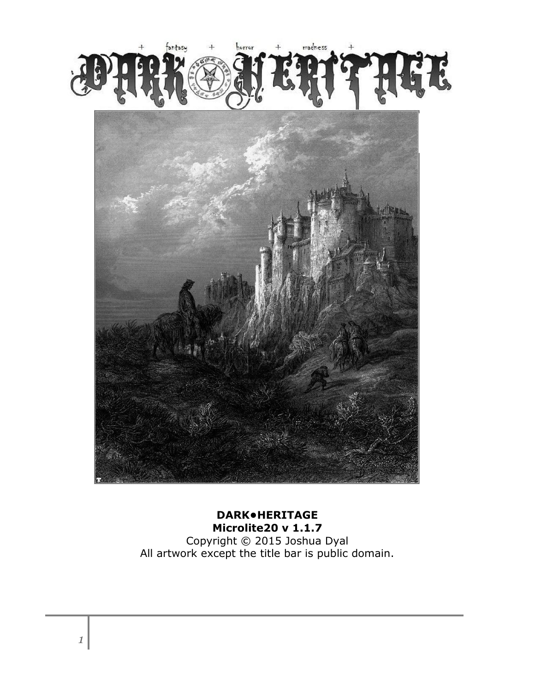

**DARK•HERITAGE Microlite20 v 1.1.7** Copyright © 2015 Joshua Dyal All artwork except the title bar is public domain.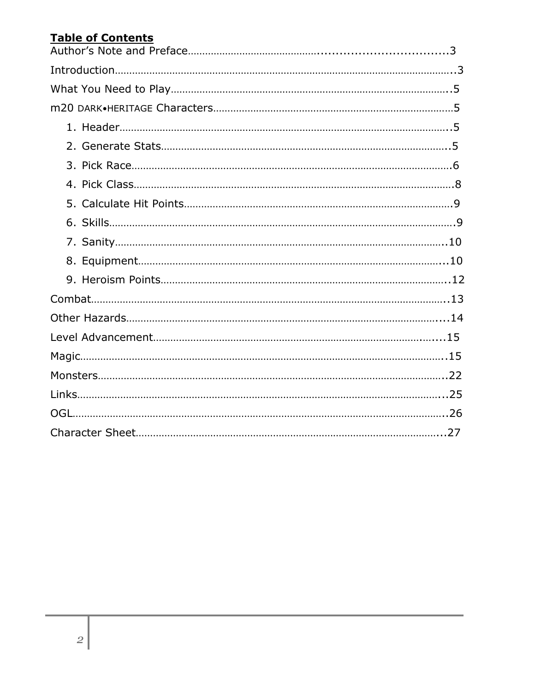# **Table of Contents**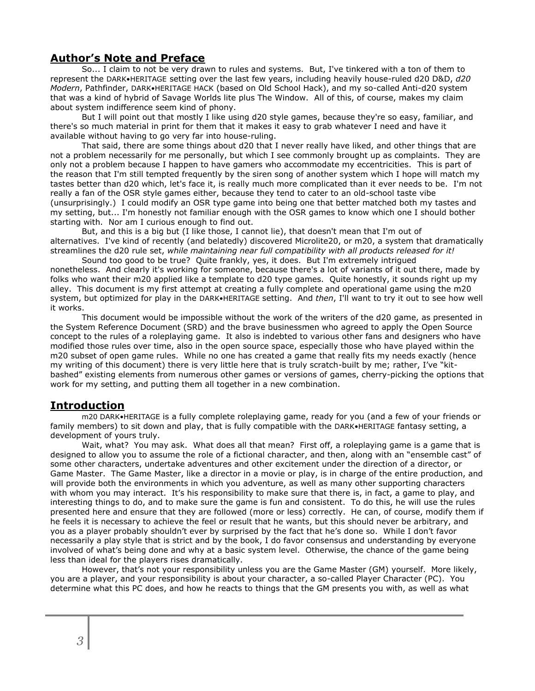# **Author's Note and Preface**

So... I claim to not be very drawn to rules and systems. But, I've tinkered with a ton of them to represent the DARK•HERITAGE setting over the last few years, including heavily house-ruled d20 D&D, *d20 Modern*, Pathfinder, DARK•HERITAGE HACK (based on Old School Hack), and my so-called Anti-d20 system that was a kind of hybrid of Savage Worlds lite plus The Window. All of this, of course, makes my claim about system indifference seem kind of phony.

But I will point out that mostly I like using d20 style games, because they're so easy, familiar, and there's so much material in print for them that it makes it easy to grab whatever I need and have it available without having to go very far into house-ruling.

That said, there are some things about d20 that I never really have liked, and other things that are not a problem necessarily for me personally, but which I see commonly brought up as complaints. They are only not a problem because I happen to have gamers who accommodate my eccentricities. This is part of the reason that I'm still tempted frequently by the siren song of another system which I hope will match my tastes better than d20 which, let's face it, is really much more complicated than it ever needs to be. I'm not really a fan of the OSR style games either, because they tend to cater to an old-school taste vibe (unsurprisingly.) I could modify an OSR type game into being one that better matched both my tastes and my setting, but... I'm honestly not familiar enough with the OSR games to know which one I should bother starting with. Nor am I curious enough to find out.

But, and this is a big but (I like those, I cannot lie), that doesn't mean that I'm out of alternatives. I've kind of recently (and belatedly) discovered Microlite20, or m20, a system that dramatically streamlines the d20 rule set, *while maintaining near full compatibility with all products released for it!*

Sound too good to be true? Quite frankly, yes, it does. But I'm extremely intrigued nonetheless. And clearly it's working for someone, because there's a lot of variants of it out there, made by folks who want their m20 applied like a template to d20 type games. Quite honestly, it sounds right up my alley. This document is my first attempt at creating a fully complete and operational game using the m20 system, but optimized for play in the DARK•HERITAGE setting. And *then*, I'll want to try it out to see how well it works.

This document would be impossible without the work of the writers of the d20 game, as presented in the System Reference Document (SRD) and the brave businessmen who agreed to apply the Open Source concept to the rules of a roleplaying game. It also is indebted to various other fans and designers who have modified those rules over time, also in the open source space, especially those who have played within the m20 subset of open game rules. While no one has created a game that really fits my needs exactly (hence my writing of this document) there is very little here that is truly scratch-built by me; rather, I've "kitbashed" existing elements from numerous other games or versions of games, cherry-picking the options that work for my setting, and putting them all together in a new combination.

# **Introduction**

m20 DARK•HERITAGE is a fully complete roleplaying game, ready for you (and a few of your friends or family members) to sit down and play, that is fully compatible with the DARK•HERITAGE fantasy setting, a development of yours truly.

Wait, what? You may ask. What does all that mean? First off, a roleplaying game is a game that is designed to allow you to assume the role of a fictional character, and then, along with an "ensemble cast" of some other characters, undertake adventures and other excitement under the direction of a director, or Game Master. The Game Master, like a director in a movie or play, is in charge of the entire production, and will provide both the environments in which you adventure, as well as many other supporting characters with whom you may interact. It's his responsibility to make sure that there is, in fact, a game to play, and interesting things to do, and to make sure the game is fun and consistent. To do this, he will use the rules presented here and ensure that they are followed (more or less) correctly. He can, of course, modify them if he feels it is necessary to achieve the feel or result that he wants, but this should never be arbitrary, and you as a player probably shouldn't ever by surprised by the fact that he's done so. While I don't favor necessarily a play style that is strict and by the book, I do favor consensus and understanding by everyone involved of what's being done and why at a basic system level. Otherwise, the chance of the game being less than ideal for the players rises dramatically.

However, that's not your responsibility unless you are the Game Master (GM) yourself. More likely, you are a player, and your responsibility is about your character, a so-called Player Character (PC). You determine what this PC does, and how he reacts to things that the GM presents you with, as well as what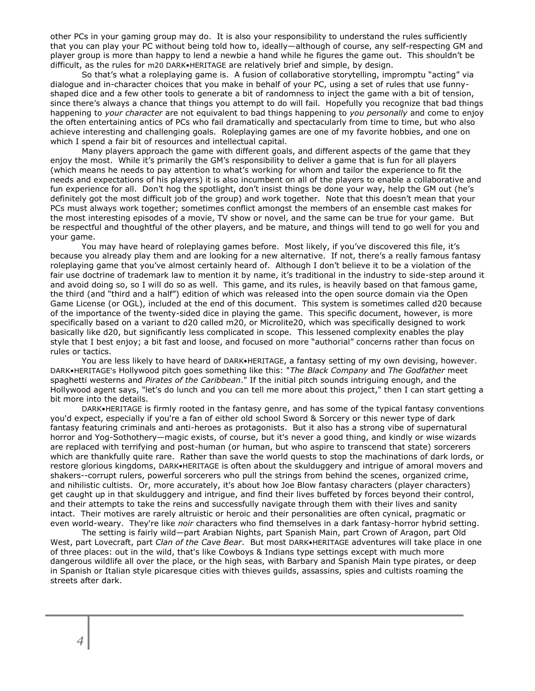other PCs in your gaming group may do. It is also your responsibility to understand the rules sufficiently that you can play your PC without being told how to, ideally—although of course, any self-respecting GM and player group is more than happy to lend a newbie a hand while he figures the game out. This shouldn't be difficult, as the rules for m20 DARK•HERITAGE are relatively brief and simple, by design.

So that's what a roleplaying game is. A fusion of collaborative storytelling, impromptu "acting" via dialogue and in-character choices that you make in behalf of your PC, using a set of rules that use funnyshaped dice and a few other tools to generate a bit of randomness to inject the game with a bit of tension, since there's always a chance that things you attempt to do will fail. Hopefully you recognize that bad things happening to *your character* are not equivalent to bad things happening to *you personally* and come to enjoy the often entertaining antics of PCs who fail dramatically and spectacularly from time to time, but who also achieve interesting and challenging goals. Roleplaying games are one of my favorite hobbies, and one on which I spend a fair bit of resources and intellectual capital.

Many players approach the game with different goals, and different aspects of the game that they enjoy the most. While it's primarily the GM's responsibility to deliver a game that is fun for all players (which means he needs to pay attention to what's working for whom and tailor the experience to fit the needs and expectations of his players) it is also incumbent on all of the players to enable a collaborative and fun experience for all. Don't hog the spotlight, don't insist things be done your way, help the GM out (he's definitely got the most difficult job of the group) and work together. Note that this doesn't mean that your PCs must always work together; sometimes conflict amongst the members of an ensemble cast makes for the most interesting episodes of a movie, TV show or novel, and the same can be true for your game. But be respectful and thoughtful of the other players, and be mature, and things will tend to go well for you and your game.

You may have heard of roleplaying games before. Most likely, if you've discovered this file, it's because you already play them and are looking for a new alternative. If not, there's a really famous fantasy roleplaying game that you've almost certainly heard of. Although I don't believe it to be a violation of the fair use doctrine of trademark law to mention it by name, it's traditional in the industry to side-step around it and avoid doing so, so I will do so as well. This game, and its rules, is heavily based on that famous game, the third (and "third and a half") edition of which was released into the open source domain via the Open Game License (or OGL), included at the end of this document. This system is sometimes called d20 because of the importance of the twenty-sided dice in playing the game. This specific document, however, is more specifically based on a variant to d20 called m20, or Microlite20, which was specifically designed to work basically like d20, but significantly less complicated in scope. This lessened complexity enables the play style that I best enjoy; a bit fast and loose, and focused on more "authorial" concerns rather than focus on rules or tactics.

You are less likely to have heard of DARK•HERITAGE, a fantasy setting of my own devising, however. DARK•HERITAGE's Hollywood pitch goes something like this: "*[The Black Company](http://en.wikipedia.org/wiki/The_Black_Company)* and *[The Godfather](http://en.wikipedia.org/wiki/The_Godfather)* meet [spaghetti westerns](http://en.wikipedia.org/wiki/Spaghetti_western) and *[Pirates of the Caribbean](http://en.wikipedia.org/wiki/Pirates_of_the_Caribbean_(film_series))*." If the initial pitch sounds intriguing enough, and the Hollywood agent says, "let's do lunch and you can tell me more about this project," then I can start getting a bit more into the details.

DARK•HERITAGE is firmly rooted in the fantasy genre, and has some of the typical fantasy conventions you'd expect, especially if you're a fan of either old school Sword & Sorcery or this newer type of dark fantasy featuring criminals and anti-heroes as protagonists. But it also has a strong vibe of supernatural horror and Yog-Sothothery—magic exists, of course, but it's never a good thing, and kindly or wise wizards are replaced with terrifying and post-human (or human, but who aspire to transcend that state) sorcerers which are thankfully quite rare. Rather than save the world quests to stop the machinations of dark lords, or restore glorious kingdoms, DARK•HERITAGE is often about the skulduggery and intrigue of amoral movers and shakers--corrupt rulers, powerful sorcerers who pull the strings from behind the scenes, organized crime, and nihilistic cultists. Or, more accurately, it's about how Joe Blow fantasy characters (player characters) get caught up in that skulduggery and intrigue, and find their lives buffeted by forces beyond their control, and their attempts to take the reins and successfully navigate through them with their lives and sanity intact. Their motives are rarely altruistic or heroic and their personalities are often cynical, pragmatic or even world-weary. They're like *noir* characters who find themselves in a dark fantasy-horror hybrid setting.

The setting is fairly wild—part Arabian Nights, part Spanish Main, part Crown of Aragon, part Old West, part Lovecraft, part *Clan of the Cave Bear*. But most DARK•HERITAGE adventures will take place in one of three places: out in the wild, that's like Cowboys & Indians type settings except with much more dangerous wildlife all over the place, or the high seas, with Barbary and Spanish Main type pirates, or deep in Spanish or Italian style picaresque cities with thieves guilds, assassins, spies and cultists roaming the streets after dark.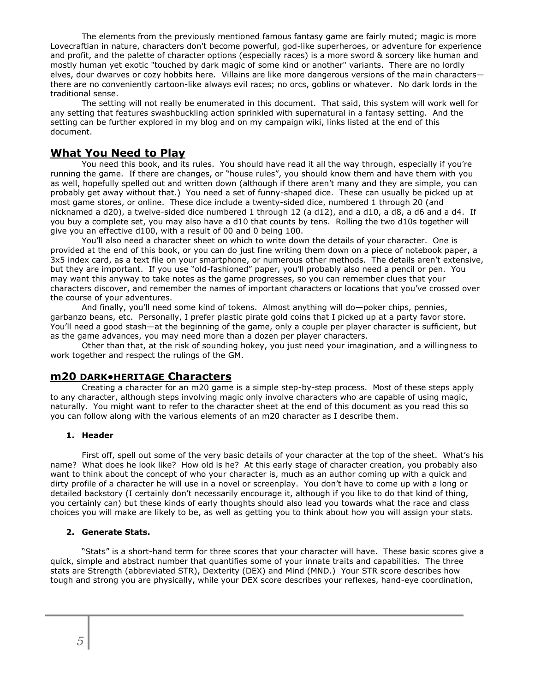The elements from the previously mentioned famous fantasy game are fairly muted; magic is more Lovecraftian in nature, characters don't become powerful, god-like superheroes, or adventure for experience and profit, and the palette of character options (especially races) is a more sword & sorcery like human and mostly human yet exotic "touched by dark magic of some kind or another" variants. There are no lordly elves, dour dwarves or cozy hobbits here. Villains are like more dangerous versions of the main characters there are no conveniently cartoon-like always evil races; no orcs, goblins or whatever. No dark lords in the traditional sense.

The setting will not really be enumerated in this document. That said, this system will work well for any setting that features swashbuckling action sprinkled with supernatural in a fantasy setting. And the setting can be further explored in my blog and on my campaign wiki, links listed at the end of this document.

# **What You Need to Play**

You need this book, and its rules. You should have read it all the way through, especially if you're running the game. If there are changes, or "house rules", you should know them and have them with you as well, hopefully spelled out and written down (although if there aren't many and they are simple, you can probably get away without that.) You need a set of funny-shaped dice. These can usually be picked up at most game stores, or online. These dice include a twenty-sided dice, numbered 1 through 20 (and nicknamed a d20), a twelve-sided dice numbered 1 through 12 (a d12), and a d10, a d8, a d6 and a d4. If you buy a complete set, you may also have a d10 that counts by tens. Rolling the two d10s together will give you an effective d100, with a result of 00 and 0 being 100.

You'll also need a character sheet on which to write down the details of your character. One is provided at the end of this book, or you can do just fine writing them down on a piece of notebook paper, a 3x5 index card, as a text file on your smartphone, or numerous other methods. The details aren't extensive, but they are important. If you use "old-fashioned" paper, you'll probably also need a pencil or pen. You may want this anyway to take notes as the game progresses, so you can remember clues that your characters discover, and remember the names of important characters or locations that you've crossed over the course of your adventures.

And finally, you'll need some kind of tokens. Almost anything will do—poker chips, pennies, garbanzo beans, etc. Personally, I prefer plastic pirate gold coins that I picked up at a party favor store. You'll need a good stash—at the beginning of the game, only a couple per player character is sufficient, but as the game advances, you may need more than a dozen per player characters.

Other than that, at the risk of sounding hokey, you just need your imagination, and a willingness to work together and respect the rulings of the GM.

# **m20 DARK•HERITAGE Characters**

Creating a character for an m20 game is a simple step-by-step process. Most of these steps apply to any character, although steps involving magic only involve characters who are capable of using magic, naturally. You might want to refer to the character sheet at the end of this document as you read this so you can follow along with the various elements of an m20 character as I describe them.

#### **1. Header**

First off, spell out some of the very basic details of your character at the top of the sheet. What's his name? What does he look like? How old is he? At this early stage of character creation, you probably also want to think about the concept of who your character is, much as an author coming up with a quick and dirty profile of a character he will use in a novel or screenplay. You don't have to come up with a long or detailed backstory (I certainly don't necessarily encourage it, although if you like to do that kind of thing, you certainly can) but these kinds of early thoughts should also lead you towards what the race and class choices you will make are likely to be, as well as getting you to think about how you will assign your stats.

### **2. Generate Stats.**

"Stats" is a short-hand term for three scores that your character will have. These basic scores give a quick, simple and abstract number that quantifies some of your innate traits and capabilities. The three stats are Strength (abbreviated STR), Dexterity (DEX) and Mind (MND.) Your STR score describes how tough and strong you are physically, while your DEX score describes your reflexes, hand-eye coordination,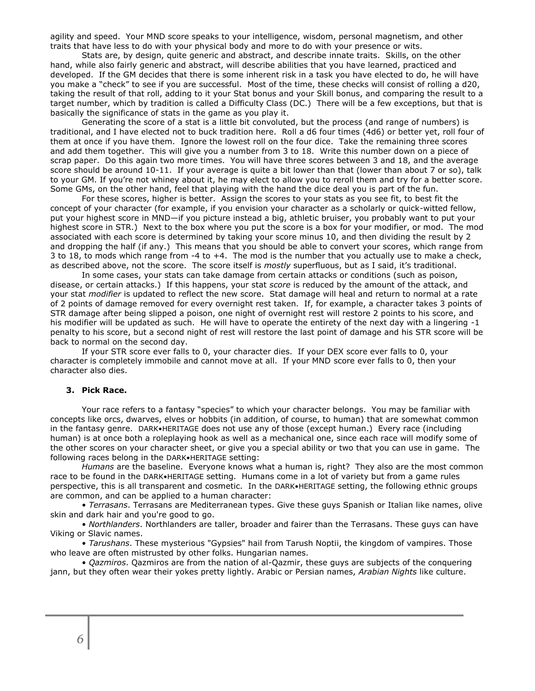agility and speed. Your MND score speaks to your intelligence, wisdom, personal magnetism, and other traits that have less to do with your physical body and more to do with your presence or wits.

Stats are, by design, quite generic and abstract, and describe innate traits. Skills, on the other hand, while also fairly generic and abstract, will describe abilities that you have learned, practiced and developed. If the GM decides that there is some inherent risk in a task you have elected to do, he will have you make a "check" to see if you are successful. Most of the time, these checks will consist of rolling a d20, taking the result of that roll, adding to it your Stat bonus and your Skill bonus, and comparing the result to a target number, which by tradition is called a Difficulty Class (DC.) There will be a few exceptions, but that is basically the significance of stats in the game as you play it.

Generating the score of a stat is a little bit convoluted, but the process (and range of numbers) is traditional, and I have elected not to buck tradition here. Roll a d6 four times (4d6) or better yet, roll four of them at once if you have them. Ignore the lowest roll on the four dice. Take the remaining three scores and add them together. This will give you a number from 3 to 18. Write this number down on a piece of scrap paper. Do this again two more times. You will have three scores between 3 and 18, and the average score should be around 10-11. If your average is quite a bit lower than that (lower than about 7 or so), talk to your GM. If you're not whiney about it, he may elect to allow you to reroll them and try for a better score. Some GMs, on the other hand, feel that playing with the hand the dice deal you is part of the fun.

For these scores, higher is better. Assign the scores to your stats as you see fit, to best fit the concept of your character (for example, if you envision your character as a scholarly or quick-witted fellow, put your highest score in MND—if you picture instead a big, athletic bruiser, you probably want to put your highest score in STR.) Next to the box where you put the score is a box for your modifier, or mod. The mod associated with each score is determined by taking your score minus 10, and then dividing the result by 2 and dropping the half (if any.) This means that you should be able to convert your scores, which range from 3 to 18, to mods which range from  $-4$  to  $+4$ . The mod is the number that you actually use to make a check, as described above, not the score. The score itself is *mostly* superfluous, but as I said, it's traditional.

In some cases, your stats can take damage from certain attacks or conditions (such as poison, disease, or certain attacks.) If this happens, your stat *score* is reduced by the amount of the attack, and your stat *modifier* is updated to reflect the new score. Stat damage will heal and return to normal at a rate of 2 points of damage removed for every overnight rest taken. If, for example, a character takes 3 points of STR damage after being slipped a poison, one night of overnight rest will restore 2 points to his score, and his modifier will be updated as such. He will have to operate the entirety of the next day with a lingering -1 penalty to his score, but a second night of rest will restore the last point of damage and his STR score will be back to normal on the second day.

If your STR score ever falls to 0, your character dies. If your DEX score ever falls to 0, your character is completely immobile and cannot move at all. If your MND score ever falls to 0, then your character also dies.

#### **3. Pick Race.**

Your race refers to a fantasy "species" to which your character belongs. You may be familiar with concepts like orcs, dwarves, elves or hobbits (in addition, of course, to human) that are somewhat common in the fantasy genre. DARK•HERITAGE does not use any of those (except human.) Every race (including human) is at once both a roleplaying hook as well as a mechanical one, since each race will modify some of the other scores on your character sheet, or give you a special ability or two that you can use in game. The following races belong in the DARK•HERITAGE setting:

*Humans* are the baseline. Everyone knows what a human is, right? They also are the most common race to be found in the DARK•HERITAGE setting. Humans come in a lot of variety but from a game rules perspective, this is all transparent and cosmetic. In the DARK•HERITAGE setting, the following ethnic groups are common, and can be applied to a human character:

• *Terrasans*. Terrasans are Mediterranean types. Give these guys Spanish or Italian like names, olive skin and dark hair and you're good to go.

• *Northlanders*. Northlanders are taller, broader and fairer than the Terrasans. These guys can have Viking or Slavic names.

• *Tarushans*. These mysterious "Gypsies" hail from Tarush Noptii, the kingdom of vampires. Those who leave are often mistrusted by other folks. Hungarian names.

• *Qazmiros*. Qazmiros are from the nation of al-Qazmir, these guys are subjects of the conquering jann, but they often wear their yokes pretty lightly. Arabic or Persian names, *Arabian Nights* like culture.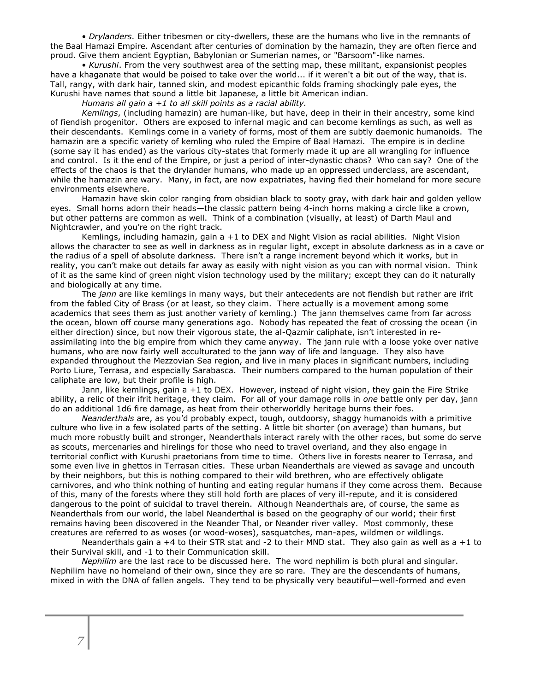• *Drylanders*. Either tribesmen or city-dwellers, these are the humans who live in the remnants of the Baal Hamazi Empire. Ascendant after centuries of domination by the hamazin, they are often fierce and proud. Give them ancient Egyptian, Babylonian or Sumerian names, or "Barsoom"-like names.

• *Kurushi*. From the very southwest area of the setting map, these militant, expansionist peoples have a khaganate that would be poised to take over the world... if it weren't a bit out of the way, that is. Tall, rangy, with dark hair, tanned skin, and modest epicanthic folds framing shockingly pale eyes, the Kurushi have names that sound a little bit Japanese, a little bit American indian.

*Humans all gain a +1 to all skill points as a racial ability.*

*Kemlings*, (including hamazin) are human-like, but have, deep in their in their ancestry, some kind of fiendish progenitor. Others are exposed to infernal magic and can become kemlings as such, as well as their descendants. Kemlings come in a variety of forms, most of them are subtly daemonic humanoids. The hamazin are a specific variety of kemling who ruled the Empire of Baal Hamazi. The empire is in decline (some say it has ended) as the various city-states that formerly made it up are all wrangling for influence and control. Is it the end of the Empire, or just a period of inter-dynastic chaos? Who can say? One of the effects of the chaos is that the drylander humans, who made up an oppressed underclass, are ascendant, while the hamazin are wary. Many, in fact, are now expatriates, having fled their homeland for more secure environments elsewhere.

Hamazin have skin color ranging from obsidian black to sooty gray, with dark hair and golden yellow eyes. Small horns adorn their heads—the classic pattern being 4-inch horns making a circle like a crown, but other patterns are common as well. Think of a combination (visually, at least) of Darth Maul and Nightcrawler, and you're on the right track.

Kemlings, including hamazin, gain a +1 to DEX and Night Vision as racial abilities. Night Vision allows the character to see as well in darkness as in regular light, except in absolute darkness as in a cave or the radius of a spell of absolute darkness. There isn't a range increment beyond which it works, but in reality, you can't make out details far away as easily with night vision as you can with normal vision. Think of it as the same kind of green night vision technology used by the military; except they can do it naturally and biologically at any time.

The *jann* are like kemlings in many ways, but their antecedents are not fiendish but rather are ifrit from the fabled City of Brass (or at least, so they claim. There actually is a movement among some academics that sees them as just another variety of kemling.) The jann themselves came from far across the ocean, blown off course many generations ago. Nobody has repeated the feat of crossing the ocean (in either direction) since, but now their vigorous state, the al-Qazmir caliphate, isn't interested in reassimilating into the big empire from which they came anyway. The jann rule with a loose yoke over native humans, who are now fairly well acculturated to the jann way of life and language. They also have expanded throughout the Mezzovian Sea region, and live in many places in significant numbers, including Porto Liure, Terrasa, and especially Sarabasca. Their numbers compared to the human population of their caliphate are low, but their profile is high.

Jann, like kemlings, gain a +1 to DEX. However, instead of night vision, they gain the Fire Strike ability, a relic of their ifrit heritage, they claim. For all of your damage rolls in *one* battle only per day, jann do an additional 1d6 fire damage, as heat from their otherworldly heritage burns their foes.

*Neanderthals* are, as you'd probably expect, tough, outdoorsy, shaggy humanoids with a primitive culture who live in a few isolated parts of the setting. A little bit shorter (on average) than humans, but much more robustly built and stronger, Neanderthals interact rarely with the other races, but some do serve as scouts, mercenaries and hirelings for those who need to travel overland, and they also engage in territorial conflict with Kurushi praetorians from time to time. Others live in forests nearer to Terrasa, and some even live in ghettos in Terrasan cities. These urban Neanderthals are viewed as savage and uncouth by their neighbors, but this is nothing compared to their wild brethren, who are effectively obligate carnivores, and who think nothing of hunting and eating regular humans if they come across them. Because of this, many of the forests where they still hold forth are places of very ill-repute, and it is considered dangerous to the point of suicidal to travel therein. Although Neanderthals are, of course, the same as Neanderthals from our world, the label Neanderthal is based on the geography of our world; their first remains having been discovered in the Neander Thal, or Neander river valley. Most commonly, these creatures are referred to as woses (or wood-woses), sasquatches, man-apes, wildmen or wildlings.

Neanderthals gain a  $+4$  to their STR stat and -2 to their MND stat. They also gain as well as a  $+1$  to their Survival skill, and -1 to their Communication skill.

*Nephilim* are the last race to be discussed here. The word nephilim is both plural and singular. Nephilim have no homeland of their own, since they are so rare. They are the descendants of humans, mixed in with the DNA of fallen angels. They tend to be physically very beautiful—well-formed and even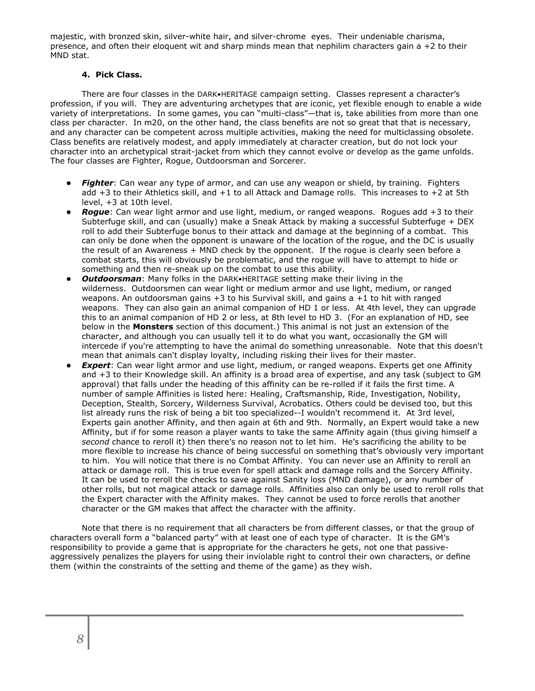majestic, with bronzed skin, silver-white hair, and silver-chrome eyes. Their undeniable charisma, presence, and often their eloquent wit and sharp minds mean that nephilim characters gain a +2 to their MND stat.

### **4. Pick Class.**

There are four classes in the DARK•HERITAGE campaign setting. Classes represent a character's profession, if you will. They are adventuring archetypes that are iconic, yet flexible enough to enable a wide variety of interpretations. In some games, you can "multi-class"—that is, take abilities from more than one class per character. In m20, on the other hand, the class benefits are not so great that that is necessary, and any character can be competent across multiple activities, making the need for multiclassing obsolete. Class benefits are relatively modest, and apply immediately at character creation, but do not lock your character into an archetypical strait-jacket from which they cannot evolve or develop as the game unfolds. The four classes are Fighter, Rogue, Outdoorsman and Sorcerer.

- *Fighter*: Can wear any type of armor, and can use any weapon or shield, by training. Fighters add +3 to their Athletics skill, and +1 to all Attack and Damage rolls. This increases to +2 at 5th level, +3 at 10th level.
- *Rogue*: Can wear light armor and use light, medium, or ranged weapons. Rogues add +3 to their Subterfuge skill, and can (usually) make a Sneak Attack by making a successful Subterfuge + DEX roll to add their Subterfuge bonus to their attack and damage at the beginning of a combat. This can only be done when the opponent is unaware of the location of the rogue, and the DC is usually the result of an Awareness + MND check by the opponent. If the roque is clearly seen before a combat starts, this will obviously be problematic, and the rogue will have to attempt to hide or something and then re-sneak up on the combat to use this ability.
- *Outdoorsman*: Many folks in the DARK•HERITAGE setting make their living in the wilderness. Outdoorsmen can wear light or medium armor and use light, medium, or ranged weapons. An outdoorsman gains +3 to his Survival skill, and gains a +1 to hit with ranged weapons. They can also gain an animal companion of HD 1 or less. At 4th level, they can upgrade this to an animal companion of HD 2 or less, at 8th level to HD 3. (For an explanation of HD, see below in the **Monsters** section of this document.) This animal is not just an extension of the character, and although you can usually tell it to do what you want, occasionally the GM will intercede if you're attempting to have the animal do something unreasonable. Note that this doesn't mean that animals can't display loyalty, including risking their lives for their master.
- *Expert*: Can wear light armor and use light, medium, or ranged weapons. Experts get one Affinity and +3 to their Knowledge skill. An affinity is a broad area of expertise, and any task (subject to GM approval) that falls under the heading of this affinity can be re-rolled if it fails the first time. A number of sample Affinities is listed here: Healing, Craftsmanship, Ride, Investigation, Nobility, Deception, Stealth, Sorcery, Wilderness Survival, Acrobatics. Others could be devised too, but this list already runs the risk of being a bit too specialized--I wouldn't recommend it. At 3rd level, Experts gain another Affinity, and then again at 6th and 9th. Normally, an Expert would take a new Affinity, but if for some reason a player wants to take the same Affinity again (thus giving himself a *second* chance to reroll it) then there's no reason not to let him. He's sacrificing the ability to be more flexible to increase his chance of being successful on something that's obviously very important to him. You will notice that there is no Combat Affinity. You can never use an Affinity to reroll an attack or damage roll. This is true even for spell attack and damage rolls and the Sorcery Affinity. It can be used to reroll the checks to save against Sanity loss (MND damage), or any number of other rolls, but not magical attack or damage rolls. Affinities also can only be used to reroll rolls that the Expert character with the Affinity makes. They cannot be used to force rerolls that another character or the GM makes that affect the character with the affinity.

Note that there is no requirement that all characters be from different classes, or that the group of characters overall form a "balanced party" with at least one of each type of character. It is the GM's responsibility to provide a game that is appropriate for the characters he gets, not one that passiveaggressively penalizes the players for using their inviolable right to control their own characters, or define them (within the constraints of the setting and theme of the game) as they wish.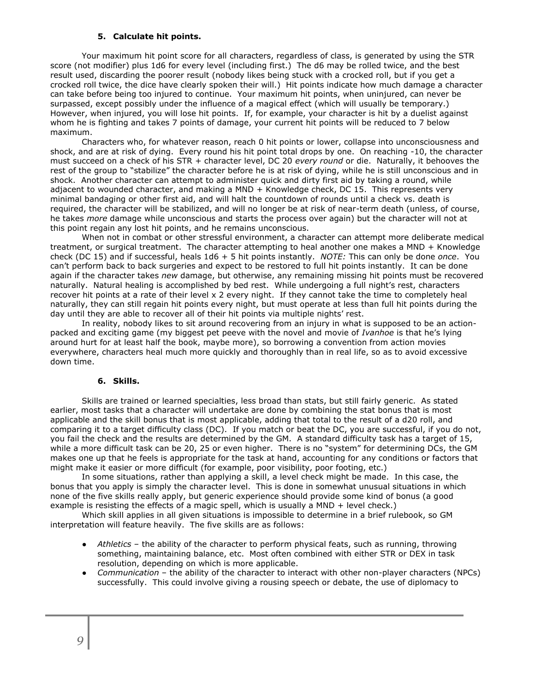#### **5. Calculate hit points.**

Your maximum hit point score for all characters, regardless of class, is generated by using the STR score (not modifier) plus 1d6 for every level (including first.) The d6 may be rolled twice, and the best result used, discarding the poorer result (nobody likes being stuck with a crocked roll, but if you get a crocked roll twice, the dice have clearly spoken their will.) Hit points indicate how much damage a character can take before being too injured to continue. Your maximum hit points, when uninjured, can never be surpassed, except possibly under the influence of a magical effect (which will usually be temporary.) However, when injured, you will lose hit points. If, for example, your character is hit by a duelist against whom he is fighting and takes 7 points of damage, your current hit points will be reduced to 7 below maximum.

Characters who, for whatever reason, reach 0 hit points or lower, collapse into unconsciousness and shock, and are at risk of dying. Every round his hit point total drops by one. On reaching -10, the character must succeed on a check of his STR + character level, DC 20 *every round* or die. Naturally, it behooves the rest of the group to "stabilize" the character before he is at risk of dying, while he is still unconscious and in shock. Another character can attempt to administer quick and dirty first aid by taking a round, while adjacent to wounded character, and making a MND + Knowledge check, DC 15. This represents very minimal bandaging or other first aid, and will halt the countdown of rounds until a check vs. death is required, the character will be stabilized, and will no longer be at risk of near-term death (unless, of course, he takes *more* damage while unconscious and starts the process over again) but the character will not at this point regain any lost hit points, and he remains unconscious.

When not in combat or other stressful environment, a character can attempt more deliberate medical treatment, or surgical treatment. The character attempting to heal another one makes a MND + Knowledge check (DC 15) and if successful, heals 1d6 + 5 hit points instantly. *NOTE:* This can only be done *once*. You can't perform back to back surgeries and expect to be restored to full hit points instantly. It can be done again if the character takes *new* damage, but otherwise, any remaining missing hit points must be recovered naturally. Natural healing is accomplished by bed rest. While undergoing a full night's rest, characters recover hit points at a rate of their level x 2 every night. If they cannot take the time to completely heal naturally, they can still regain hit points every night, but must operate at less than full hit points during the day until they are able to recover all of their hit points via multiple nights' rest.

In reality, nobody likes to sit around recovering from an injury in what is supposed to be an actionpacked and exciting game (my biggest pet peeve with the novel and movie of *Ivanhoe* is that he's lying around hurt for at least half the book, maybe more), so borrowing a convention from action movies everywhere, characters heal much more quickly and thoroughly than in real life, so as to avoid excessive down time.

#### **6. Skills.**

Skills are trained or learned specialties, less broad than stats, but still fairly generic. As stated earlier, most tasks that a character will undertake are done by combining the stat bonus that is most applicable and the skill bonus that is most applicable, adding that total to the result of a d20 roll, and comparing it to a target difficulty class (DC). If you match or beat the DC, you are successful, if you do not, you fail the check and the results are determined by the GM. A standard difficulty task has a target of 15, while a more difficult task can be 20, 25 or even higher. There is no "system" for determining DCs, the GM makes one up that he feels is appropriate for the task at hand, accounting for any conditions or factors that might make it easier or more difficult (for example, poor visibility, poor footing, etc.)

In some situations, rather than applying a skill, a level check might be made. In this case, the bonus that you apply is simply the character level. This is done in somewhat unusual situations in which none of the five skills really apply, but generic experience should provide some kind of bonus (a good example is resisting the effects of a magic spell, which is usually a MND  $+$  level check.)

Which skill applies in all given situations is impossible to determine in a brief rulebook, so GM interpretation will feature heavily. The five skills are as follows:

- *Athletics* the ability of the character to perform physical feats, such as running, throwing something, maintaining balance, etc. Most often combined with either STR or DEX in task resolution, depending on which is more applicable.
- *Communication* the ability of the character to interact with other non-player characters (NPCs) successfully. This could involve giving a rousing speech or debate, the use of diplomacy to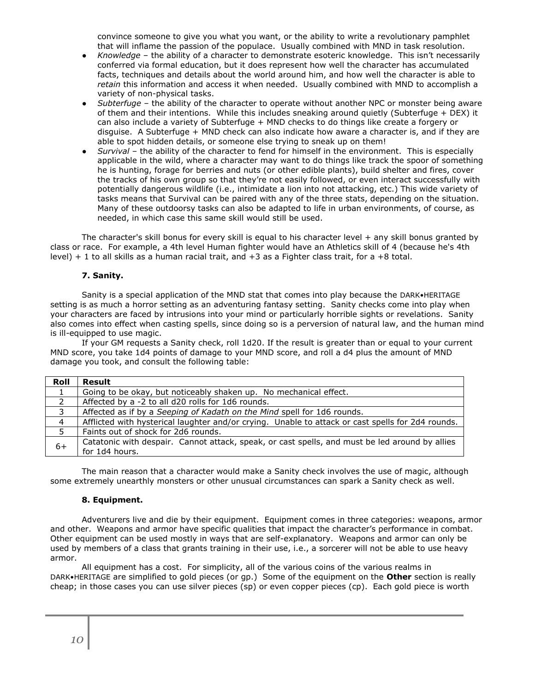convince someone to give you what you want, or the ability to write a revolutionary pamphlet that will inflame the passion of the populace. Usually combined with MND in task resolution.

- *Knowledge*  the ability of a character to demonstrate esoteric knowledge. This isn't necessarily conferred via formal education, but it does represent how well the character has accumulated facts, techniques and details about the world around him, and how well the character is able to *retain* this information and access it when needed. Usually combined with MND to accomplish a variety of non-physical tasks.
- Subterfuge the ability of the character to operate without another NPC or monster being aware of them and their intentions. While this includes sneaking around quietly (Subterfuge + DEX) it can also include a variety of Subterfuge + MND checks to do things like create a forgery or disguise. A Subterfuge + MND check can also indicate how aware a character is, and if they are able to spot hidden details, or someone else trying to sneak up on them!
- *Survival*  the ability of the character to fend for himself in the environment. This is especially applicable in the wild, where a character may want to do things like track the spoor of something he is hunting, forage for berries and nuts (or other edible plants), build shelter and fires, cover the tracks of his own group so that they're not easily followed, or even interact successfully with potentially dangerous wildlife (i.e., intimidate a lion into not attacking, etc.) This wide variety of tasks means that Survival can be paired with any of the three stats, depending on the situation. Many of these outdoorsy tasks can also be adapted to life in urban environments, of course, as needed, in which case this same skill would still be used.

The character's skill bonus for every skill is equal to his character level + any skill bonus granted by class or race. For example, a 4th level Human fighter would have an Athletics skill of 4 (because he's 4th level) + 1 to all skills as a human racial trait, and  $+3$  as a Fighter class trait, for a  $+8$  total.

### **7. Sanity.**

Sanity is a special application of the MND stat that comes into play because the DARK•HERITAGE setting is as much a horror setting as an adventuring fantasy setting. Sanity checks come into play when your characters are faced by intrusions into your mind or particularly horrible sights or revelations. Sanity also comes into effect when casting spells, since doing so is a perversion of natural law, and the human mind is ill-equipped to use magic.

If your GM requests a Sanity check, roll 1d20. If the result is greater than or equal to your current MND score, you take 1d4 points of damage to your MND score, and roll a d4 plus the amount of MND damage you took, and consult the following table:

| <b>Roll</b> | Result                                                                                            |  |
|-------------|---------------------------------------------------------------------------------------------------|--|
| 1           | Going to be okay, but noticeably shaken up. No mechanical effect.                                 |  |
| 2           | Affected by a -2 to all d20 rolls for 1d6 rounds.                                                 |  |
| 3           | Affected as if by a Seeping of Kadath on the Mind spell for 1d6 rounds.                           |  |
| 4           | Afflicted with hysterical laughter and/or crying. Unable to attack or cast spells for 2d4 rounds. |  |
| 5.          | Faints out of shock for 2d6 rounds.                                                               |  |
| $6+$        | Catatonic with despair. Cannot attack, speak, or cast spells, and must be led around by allies    |  |
|             | for 1d4 hours.                                                                                    |  |

The main reason that a character would make a Sanity check involves the use of magic, although some extremely unearthly monsters or other unusual circumstances can spark a Sanity check as well.

#### **8. Equipment.**

Adventurers live and die by their equipment. Equipment comes in three categories: weapons, armor and other. Weapons and armor have specific qualities that impact the character's performance in combat. Other equipment can be used mostly in ways that are self-explanatory. Weapons and armor can only be used by members of a class that grants training in their use, i.e., a sorcerer will not be able to use heavy armor.

All equipment has a cost. For simplicity, all of the various coins of the various realms in DARK•HERITAGE are simplified to gold pieces (or gp.) Some of the equipment on the **Other** section is really cheap; in those cases you can use silver pieces (sp) or even copper pieces (cp). Each gold piece is worth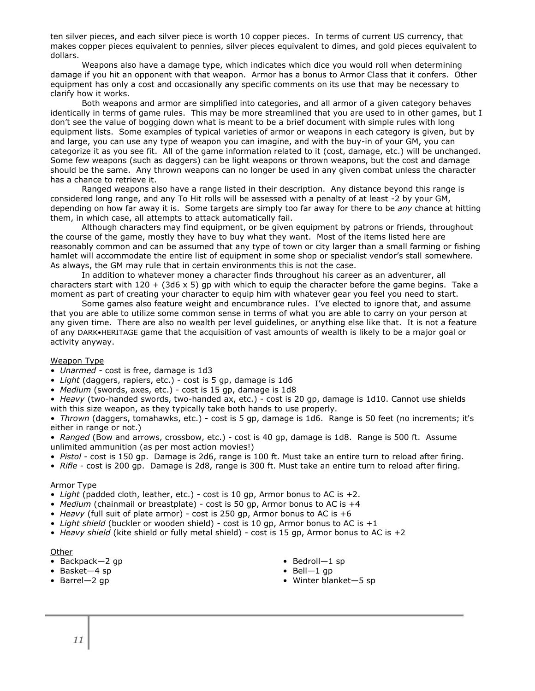ten silver pieces, and each silver piece is worth 10 copper pieces. In terms of current US currency, that makes copper pieces equivalent to pennies, silver pieces equivalent to dimes, and gold pieces equivalent to dollars.

Weapons also have a damage type, which indicates which dice you would roll when determining damage if you hit an opponent with that weapon. Armor has a bonus to Armor Class that it confers. Other equipment has only a cost and occasionally any specific comments on its use that may be necessary to clarify how it works.

Both weapons and armor are simplified into categories, and all armor of a given category behaves identically in terms of game rules. This may be more streamlined that you are used to in other games, but I don't see the value of bogging down what is meant to be a brief document with simple rules with long equipment lists. Some examples of typical varieties of armor or weapons in each category is given, but by and large, you can use any type of weapon you can imagine, and with the buy-in of your GM, you can categorize it as you see fit. All of the game information related to it (cost, damage, etc.) will be unchanged. Some few weapons (such as daggers) can be light weapons or thrown weapons, but the cost and damage should be the same. Any thrown weapons can no longer be used in any given combat unless the character has a chance to retrieve it.

Ranged weapons also have a range listed in their description. Any distance beyond this range is considered long range, and any To Hit rolls will be assessed with a penalty of at least -2 by your GM, depending on how far away it is. Some targets are simply too far away for there to be *any* chance at hitting them, in which case, all attempts to attack automatically fail.

Although characters may find equipment, or be given equipment by patrons or friends, throughout the course of the game, mostly they have to buy what they want. Most of the items listed here are reasonably common and can be assumed that any type of town or city larger than a small farming or fishing hamlet will accommodate the entire list of equipment in some shop or specialist vendor's stall somewhere. As always, the GM may rule that in certain environments this is not the case.

In addition to whatever money a character finds throughout his career as an adventurer, all characters start with  $120 + (3d6 \times 5)$  gp with which to equip the character before the game begins. Take a moment as part of creating your character to equip him with whatever gear you feel you need to start.

Some games also feature weight and encumbrance rules. I've elected to ignore that, and assume that you are able to utilize some common sense in terms of what you are able to carry on your person at any given time. There are also no wealth per level guidelines, or anything else like that. It is not a feature of any DARK•HERITAGE game that the acquisition of vast amounts of wealth is likely to be a major goal or activity anyway.

#### Weapon Type

- *Unarmed* cost is free, damage is 1d3
- *Light* (daggers, rapiers, etc.) cost is 5 gp, damage is 1d6
- *Medium* (swords, axes, etc.) cost is 15 gp, damage is 1d8
- *Heavy* (two-handed swords, two-handed ax, etc.) cost is 20 gp, damage is 1d10. Cannot use shields with this size weapon, as they typically take both hands to use properly.

*• Thrown* (daggers, tomahawks, etc.) - cost is 5 gp, damage is 1d6. Range is 50 feet (no increments; it's either in range or not.)

*• Ranged* (Bow and arrows, crossbow, etc.) - cost is 40 gp, damage is 1d8. Range is 500 ft. Assume unlimited ammunition (as per most action movies!)

- *Pistol* cost is 150 gp. Damage is 2d6, range is 100 ft. Must take an entire turn to reload after firing.
- *Rifle* cost is 200 gp. Damage is 2d8, range is 300 ft. Must take an entire turn to reload after firing.

#### Armor Type

- *Light* (padded cloth, leather, etc.) cost is 10 gp, Armor bonus to AC is +2.
- *Medium* (chainmail or breastplate) cost is 50 gp, Armor bonus to AC is +4
- *Heavy* (full suit of plate armor) cost is 250 gp, Armor bonus to AC is +6
- *Light shield* (buckler or wooden shield) cost is 10 gp, Armor bonus to AC is +1
- *Heavy shield* (kite shield or fully metal shield) cost is 15 gp, Armor bonus to AC is +2

## Other

- Backpack—2 gp
- Basket—4 sp
- Barrel—2 gp
- Bedroll—1 sp
- $\bullet$  Bell-1 gp
- Winter blanket—5 sp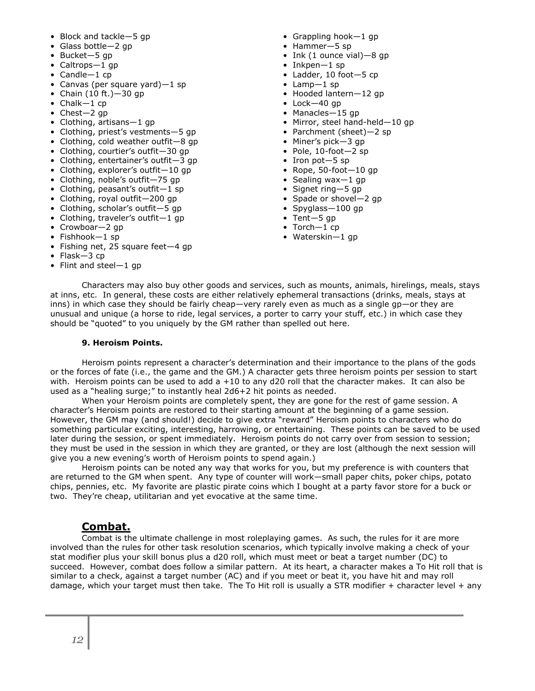- Block and tackle—5 gp
- Glass bottle—2 gp
- Bucket—5 gp
- Caltrops—1 gp
- Candle—1 cp
- Canvas (per square yard)—1 sp
- Chain  $(10 ft.) 30 gp$
- Chalk $-1$  cp
- Chest-2 ap
- Clothing, artisans—1 gp
- Clothing, priest's vestments—5 gp
- Clothing, cold weather outfit—8 gp
- Clothing, courtier's outfit—30 gp
- Clothing, entertainer's outfit—3 gp
- Clothing, explorer's outfit—10 gp
- Clothing, noble's outfit-75 gp
- Clothing, peasant's outfit—1 sp
- Clothing, royal outfit—200 gp
- Clothing, scholar's outfit—5 gp
- Clothing, traveler's outfit—1 gp
- Crowboar—2 gp
- Fishhook—1 sp
- Fishing net, 25 square feet—4 gp
- Flask—3 cp
- Flint and steel—1 gp
- Grappling hook—1 gp
- Hammer—5 sp
- Ink (1 ounce vial)-8 qp
- Inkpen—1 sp
- Ladder, 10 foot—5 cp
- Lamp—1 sp
- Hooded lantern—12 gp
- Lock-40 qp
- Manacles-15 gp
- Mirror, steel hand-held-10 gp
- Parchment (sheet)—2 sp
- Miner's pick—3 gp
- Pole, 10-foot—2 sp
- Iron pot—5 sp
- Rope, 50-foot—10 gp
- Sealing wax-1 gp
- Signet ring—5 gp
- Spade or shovel—2 gp
- Spyglass—100 gp
- Tent-5 qp
- Torch-1 cp
- Waterskin—1 gp

Characters may also buy other goods and services, such as mounts, animals, hirelings, meals, stays at inns, etc. In general, these costs are either relatively ephemeral transactions (drinks, meals, stays at inns) in which case they should be fairly cheap—very rarely even as much as a single gp—or they are unusual and unique (a horse to ride, legal services, a porter to carry your stuff, etc.) in which case they should be "quoted" to you uniquely by the GM rather than spelled out here.

### **9. Heroism Points.**

Heroism points represent a character's determination and their importance to the plans of the gods or the forces of fate (i.e., the game and the GM.) A character gets three heroism points per session to start with. Heroism points can be used to add a +10 to any d20 roll that the character makes. It can also be used as a "healing surge;" to instantly heal 2d6+2 hit points as needed.

When your Heroism points are completely spent, they are gone for the rest of game session. A character's Heroism points are restored to their starting amount at the beginning of a game session. However, the GM may (and should!) decide to give extra "reward" Heroism points to characters who do something particular exciting, interesting, harrowing, or entertaining. These points can be saved to be used later during the session, or spent immediately. Heroism points do not carry over from session to session; they must be used in the session in which they are granted, or they are lost (although the next session will give you a new evening's worth of Heroism points to spend again.)

Heroism points can be noted any way that works for you, but my preference is with counters that are returned to the GM when spent. Any type of counter will work—small paper chits, poker chips, potato chips, pennies, etc. My favorite are plastic pirate coins which I bought at a party favor store for a buck or two. They're cheap, utilitarian and yet evocative at the same time.

# **Combat.**

Combat is the ultimate challenge in most roleplaying games. As such, the rules for it are more involved than the rules for other task resolution scenarios, which typically involve making a check of your stat modifier plus your skill bonus plus a d20 roll, which must meet or beat a target number (DC) to succeed. However, combat does follow a similar pattern. At its heart, a character makes a To Hit roll that is similar to a check, against a target number (AC) and if you meet or beat it, you have hit and may roll damage, which your target must then take. The To Hit roll is usually a STR modifier + character level + any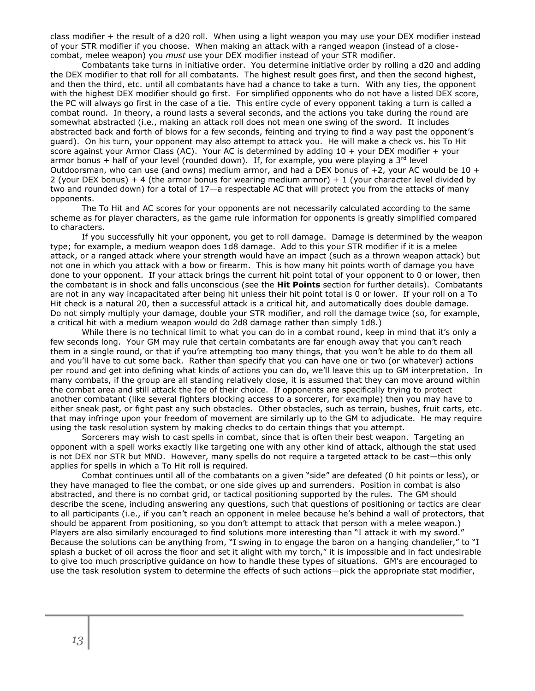class modifier + the result of a d20 roll. When using a light weapon you may use your DEX modifier instead of your STR modifier if you choose. When making an attack with a ranged weapon (instead of a closecombat, melee weapon) you *must* use your DEX modifier instead of your STR modifier.

Combatants take turns in initiative order. You determine initiative order by rolling a d20 and adding the DEX modifier to that roll for all combatants. The highest result goes first, and then the second highest, and then the third, etc. until all combatants have had a chance to take a turn. With any ties, the opponent with the highest DEX modifier should go first. For simplified opponents who do not have a listed DEX score, the PC will always go first in the case of a tie. This entire cycle of every opponent taking a turn is called a combat round. In theory, a round lasts a several seconds, and the actions you take during the round are somewhat abstracted (i.e., making an attack roll does not mean one swing of the sword. It includes abstracted back and forth of blows for a few seconds, feinting and trying to find a way past the opponent's guard). On his turn, your opponent may also attempt to attack you. He will make a check vs. his To Hit score against your Armor Class (AC). Your AC is determined by adding 10 + your DEX modifier + your armor bonus + half of your level (rounded down). If, for example, you were playing a  $3<sup>rd</sup>$  level Outdoorsman, who can use (and owns) medium armor, and had a DEX bonus of  $+2$ , your AC would be 10  $+$ 2 (your DEX bonus) + 4 (the armor bonus for wearing medium armor) + 1 (your character level divided by two and rounded down) for a total of 17—a respectable AC that will protect you from the attacks of many opponents.

The To Hit and AC scores for your opponents are not necessarily calculated according to the same scheme as for player characters, as the game rule information for opponents is greatly simplified compared to characters.

If you successfully hit your opponent, you get to roll damage. Damage is determined by the weapon type; for example, a medium weapon does 1d8 damage. Add to this your STR modifier if it is a melee attack, or a ranged attack where your strength would have an impact (such as a thrown weapon attack) but not one in which you attack with a bow or firearm. This is how many hit points worth of damage you have done to your opponent. If your attack brings the current hit point total of your opponent to 0 or lower, then the combatant is in shock and falls unconscious (see the **Hit Points** section for further details). Combatants are not in any way incapacitated after being hit unless their hit point total is 0 or lower. If your roll on a To Hit check is a natural 20, then a successful attack is a critical hit, and automatically does double damage. Do not simply multiply your damage, double your STR modifier, and roll the damage twice (so, for example, a critical hit with a medium weapon would do 2d8 damage rather than simply 1d8.)

While there is no technical limit to what you can do in a combat round, keep in mind that it's only a few seconds long. Your GM may rule that certain combatants are far enough away that you can't reach them in a single round, or that if you're attempting too many things, that you won't be able to do them all and you'll have to cut some back. Rather than specify that you can have one or two (or whatever) actions per round and get into defining what kinds of actions you can do, we'll leave this up to GM interpretation. In many combats, if the group are all standing relatively close, it is assumed that they can move around within the combat area and still attack the foe of their choice. If opponents are specifically trying to protect another combatant (like several fighters blocking access to a sorcerer, for example) then you may have to either sneak past, or fight past any such obstacles. Other obstacles, such as terrain, bushes, fruit carts, etc. that may infringe upon your freedom of movement are similarly up to the GM to adjudicate. He may require using the task resolution system by making checks to do certain things that you attempt.

Sorcerers may wish to cast spells in combat, since that is often their best weapon. Targeting an opponent with a spell works exactly like targeting one with any other kind of attack, although the stat used is not DEX nor STR but MND. However, many spells do not require a targeted attack to be cast—this only applies for spells in which a To Hit roll is required.

Combat continues until all of the combatants on a given "side" are defeated (0 hit points or less), or they have managed to flee the combat, or one side gives up and surrenders. Position in combat is also abstracted, and there is no combat grid, or tactical positioning supported by the rules. The GM should describe the scene, including answering any questions, such that questions of positioning or tactics are clear to all participants (i.e., if you can't reach an opponent in melee because he's behind a wall of protectors, that should be apparent from positioning, so you don't attempt to attack that person with a melee weapon.) Players are also similarly encouraged to find solutions more interesting than "I attack it with my sword." Because the solutions can be anything from, "I swing in to engage the baron on a hanging chandelier," to "I splash a bucket of oil across the floor and set it alight with my torch," it is impossible and in fact undesirable to give too much proscriptive guidance on how to handle these types of situations. GM's are encouraged to use the task resolution system to determine the effects of such actions—pick the appropriate stat modifier,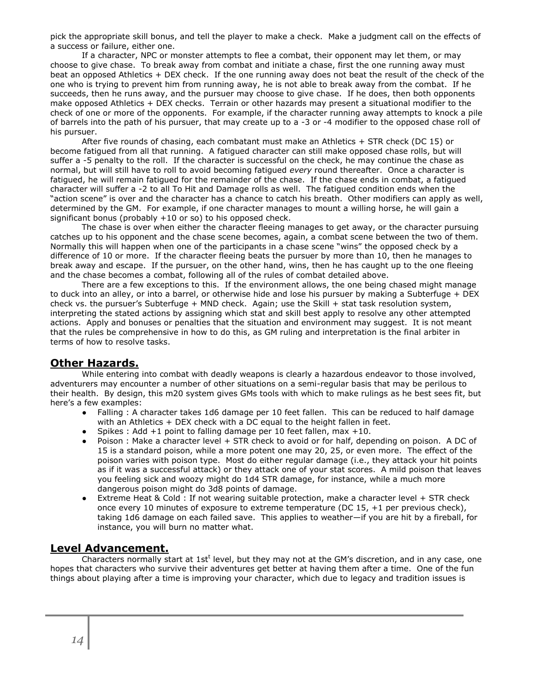pick the appropriate skill bonus, and tell the player to make a check. Make a judgment call on the effects of a success or failure, either one.

If a character, NPC or monster attempts to flee a combat, their opponent may let them, or may choose to give chase. To break away from combat and initiate a chase, first the one running away must beat an opposed Athletics + DEX check. If the one running away does not beat the result of the check of the one who is trying to prevent him from running away, he is not able to break away from the combat. If he succeeds, then he runs away, and the pursuer may choose to give chase. If he does, then both opponents make opposed Athletics + DEX checks. Terrain or other hazards may present a situational modifier to the check of one or more of the opponents. For example, if the character running away attempts to knock a pile of barrels into the path of his pursuer, that may create up to a -3 or -4 modifier to the opposed chase roll of his pursuer.

After five rounds of chasing, each combatant must make an Athletics + STR check (DC 15) or become fatigued from all that running. A fatigued character can still make opposed chase rolls, but will suffer a -5 penalty to the roll. If the character is successful on the check, he may continue the chase as normal, but will still have to roll to avoid becoming fatigued *every* round thereafter. Once a character is fatigued, he will remain fatigued for the remainder of the chase. If the chase ends in combat, a fatigued character will suffer a -2 to all To Hit and Damage rolls as well. The fatigued condition ends when the "action scene" is over and the character has a chance to catch his breath. Other modifiers can apply as well, determined by the GM. For example, if one character manages to mount a willing horse, he will gain a significant bonus (probably +10 or so) to his opposed check.

The chase is over when either the character fleeing manages to get away, or the character pursuing catches up to his opponent and the chase scene becomes, again, a combat scene between the two of them. Normally this will happen when one of the participants in a chase scene "wins" the opposed check by a difference of 10 or more. If the character fleeing beats the pursuer by more than 10, then he manages to break away and escape. If the pursuer, on the other hand, wins, then he has caught up to the one fleeing and the chase becomes a combat, following all of the rules of combat detailed above.

There are a few exceptions to this. If the environment allows, the one being chased might manage to duck into an alley, or into a barrel, or otherwise hide and lose his pursuer by making a Subterfuge + DEX check vs. the pursuer's Subterfuge + MND check. Again; use the Skill + stat task resolution system, interpreting the stated actions by assigning which stat and skill best apply to resolve any other attempted actions. Apply and bonuses or penalties that the situation and environment may suggest. It is not meant that the rules be comprehensive in how to do this, as GM ruling and interpretation is the final arbiter in terms of how to resolve tasks.

# **Other Hazards.**

While entering into combat with deadly weapons is clearly a hazardous endeavor to those involved, adventurers may encounter a number of other situations on a semi-regular basis that may be perilous to their health. By design, this m20 system gives GMs tools with which to make rulings as he best sees fit, but here's a few examples:

- Falling : A character takes 1d6 damage per 10 feet fallen. This can be reduced to half damage with an Athletics + DEX check with a DC equal to the height fallen in feet.
- Spikes : Add +1 point to falling damage per 10 feet fallen, max +10.
- Poison : Make a character level + STR check to avoid or for half, depending on poison. A DC of 15 is a standard poison, while a more potent one may 20, 25, or even more. The effect of the poison varies with poison type. Most do either regular damage (i.e., they attack your hit points as if it was a successful attack) or they attack one of your stat scores. A mild poison that leaves you feeling sick and woozy might do 1d4 STR damage, for instance, while a much more dangerous poison might do 3d8 points of damage.
- Extreme Heat & Cold : If not wearing suitable protection, make a character level + STR check once every 10 minutes of exposure to extreme temperature (DC 15, +1 per previous check), taking 1d6 damage on each failed save. This applies to weather—if you are hit by a fireball, for instance, you will burn no matter what.

## **Level Advancement.**

Characters normally start at 1st<sup>t</sup> level, but they may not at the GM's discretion, and in any case, one hopes that characters who survive their adventures get better at having them after a time. One of the fun things about playing after a time is improving your character, which due to legacy and tradition issues is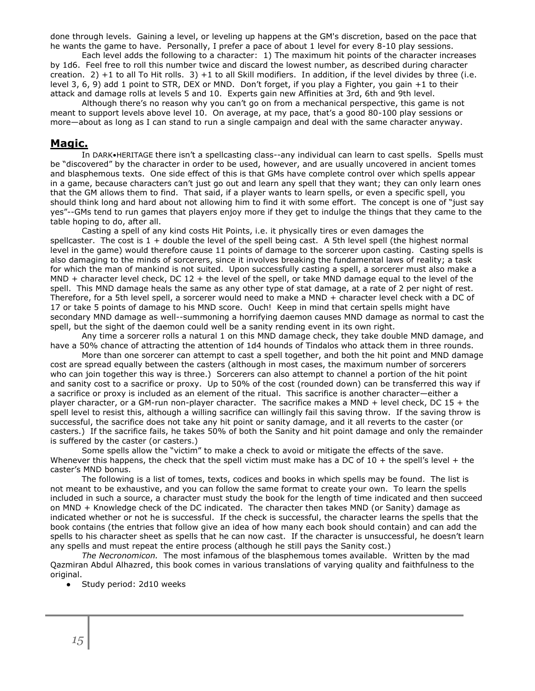done through levels. Gaining a level, or leveling up happens at the GM's discretion, based on the pace that he wants the game to have. Personally, I prefer a pace of about 1 level for every 8-10 play sessions.

Each level adds the following to a character: 1) The maximum hit points of the character increases by 1d6. Feel free to roll this number twice and discard the lowest number, as described during character creation. 2) +1 to all To Hit rolls.  $3$ ) +1 to all Skill modifiers. In addition, if the level divides by three (i.e. level 3, 6, 9) add 1 point to STR, DEX or MND. Don't forget, if you play a Fighter, you gain +1 to their attack and damage rolls at levels 5 and 10. Experts gain new Affinities at 3rd, 6th and 9th level.

Although there's no reason why you can't go on from a mechanical perspective, this game is not meant to support levels above level 10. On average, at my pace, that's a good 80-100 play sessions or more—about as long as I can stand to run a single campaign and deal with the same character anyway.

## **Magic.**

In DARK•HERITAGE there isn't a spellcasting class--any individual can learn to cast spells. Spells must be "discovered" by the character in order to be used, however, and are usually uncovered in ancient tomes and blasphemous texts. One side effect of this is that GMs have complete control over which spells appear in a game, because characters can't just go out and learn any spell that they want; they can only learn ones that the GM allows them to find. That said, if a player wants to learn spells, or even a specific spell, you should think long and hard about not allowing him to find it with some effort. The concept is one of "just say yes"--GMs tend to run games that players enjoy more if they get to indulge the things that they came to the table hoping to do, after all.

Casting a spell of any kind costs Hit Points, i.e. it physically tires or even damages the spellcaster. The cost is 1 + double the level of the spell being cast. A 5th level spell (the highest normal level in the game) would therefore cause 11 points of damage to the sorcerer upon casting. Casting spells is also damaging to the minds of sorcerers, since it involves breaking the fundamental laws of reality; a task for which the man of mankind is not suited. Upon successfully casting a spell, a sorcerer must also make a MND + character level check, DC  $12 +$  the level of the spell, or take MND damage equal to the level of the spell. This MND damage heals the same as any other type of stat damage, at a rate of 2 per night of rest. Therefore, for a 5th level spell, a sorcerer would need to make a MND + character level check with a DC of 17 or take 5 points of damage to his MND score. Ouch! Keep in mind that certain spells might have secondary MND damage as well--summoning a horrifying daemon causes MND damage as normal to cast the spell, but the sight of the daemon could well be a sanity rending event in its own right.

Any time a sorcerer rolls a natural 1 on this MND damage check, they take double MND damage, and have a 50% chance of attracting the attention of 1d4 hounds of Tindalos who attack them in three rounds.

More than one sorcerer can attempt to cast a spell together, and both the hit point and MND damage cost are spread equally between the casters (although in most cases, the maximum number of sorcerers who can join together this way is three.) Sorcerers can also attempt to channel a portion of the hit point and sanity cost to a sacrifice or proxy. Up to 50% of the cost (rounded down) can be transferred this way if a sacrifice or proxy is included as an element of the ritual. This sacrifice is another character—either a player character, or a GM-run non-player character. The sacrifice makes a MND + level check, DC 15 + the spell level to resist this, although a willing sacrifice can willingly fail this saving throw. If the saving throw is successful, the sacrifice does not take any hit point or sanity damage, and it all reverts to the caster (or casters.) If the sacrifice fails, he takes 50% of both the Sanity and hit point damage and only the remainder is suffered by the caster (or casters.)

Some spells allow the "victim" to make a check to avoid or mitigate the effects of the save. Whenever this happens, the check that the spell victim must make has a DC of  $10 +$  the spell's level + the caster's MND bonus.

The following is a list of tomes, texts, codices and books in which spells may be found. The list is not meant to be exhaustive, and you can follow the same format to create your own. To learn the spells included in such a source, a character must study the book for the length of time indicated and then succeed on MND + Knowledge check of the DC indicated. The character then takes MND (or Sanity) damage as indicated whether or not he is successful. If the check is successful, the character learns the spells that the book contains (the entries that follow give an idea of how many each book should contain) and can add the spells to his character sheet as spells that he can now cast. If the character is unsuccessful, he doesn't learn any spells and must repeat the entire process (although he still pays the Sanity cost.)

*The Necronomicon.* The most infamous of the blasphemous tomes available. Written by the mad Qazmiran Abdul Alhazred, this book comes in various translations of varying quality and faithfulness to the original.

• Study period: 2d10 weeks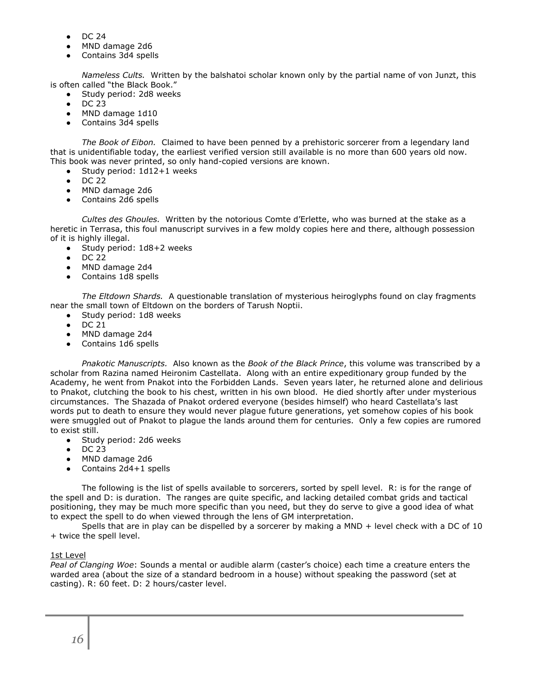- DC 24
- MND damage 2d6
- Contains 3d4 spells

*Nameless Cults.* Written by the balshatoi scholar known only by the partial name of von Junzt, this is often called "the Black Book."

- Study period: 2d8 weeks
- DC 23
- MND damage 1d10
- Contains 3d4 spells

*The Book of Eibon.* Claimed to have been penned by a prehistoric sorcerer from a legendary land that is unidentifiable today, the earliest verified version still available is no more than 600 years old now. This book was never printed, so only hand-copied versions are known.

- Study period: 1d12+1 weeks
- DC 22
- MND damage 2d6
- Contains 2d6 spells

*Cultes des Ghoules.* Written by the notorious Comte d'Erlette, who was burned at the stake as a heretic in Terrasa, this foul manuscript survives in a few moldy copies here and there, although possession of it is highly illegal.

- Study period: 1d8+2 weeks
- DC 22
- MND damage 2d4
- Contains 1d8 spells

*The Eltdown Shards.* A questionable translation of mysterious heiroglyphs found on clay fragments near the small town of Eltdown on the borders of Tarush Noptii.

- Study period: 1d8 weeks
- DC 21
- MND damage 2d4
- Contains 1d6 spells

*Pnakotic Manuscripts.* Also known as the *Book of the Black Prince*, this volume was transcribed by a scholar from Razina named Heironim Castellata. Along with an entire expeditionary group funded by the Academy, he went from Pnakot into the Forbidden Lands. Seven years later, he returned alone and delirious to Pnakot, clutching the book to his chest, written in his own blood. He died shortly after under mysterious circumstances. The Shazada of Pnakot ordered everyone (besides himself) who heard Castellata's last words put to death to ensure they would never plague future generations, yet somehow copies of his book were smuggled out of Pnakot to plague the lands around them for centuries. Only a few copies are rumored to exist still.

- Study period: 2d6 weeks
- DC 23
- MND damage 2d6
- Contains 2d4+1 spells

The following is the list of spells available to sorcerers, sorted by spell level. R: is for the range of the spell and D: is duration. The ranges are quite specific, and lacking detailed combat grids and tactical positioning, they may be much more specific than you need, but they do serve to give a good idea of what to expect the spell to do when viewed through the lens of GM interpretation.

Spells that are in play can be dispelled by a sorcerer by making a MND + level check with a DC of 10 + twice the spell level.

#### 1st Level

*Peal of Clanging Woe*: Sounds a mental or audible alarm (caster's choice) each time a creature enters the warded area (about the size of a standard bedroom in a house) without speaking the password (set at casting). R: 60 feet. D: 2 hours/caster level.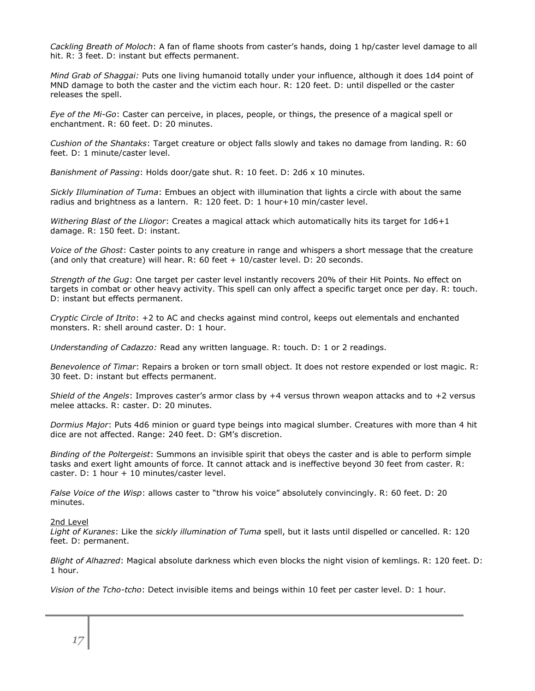*Cackling Breath of Moloch*: A fan of flame shoots from caster's hands, doing 1 hp/caster level damage to all hit. R: 3 feet. D: instant but effects permanent.

*Mind Grab of Shaggai:* Puts one living humanoid totally under your influence, although it does 1d4 point of MND damage to both the caster and the victim each hour. R: 120 feet. D: until dispelled or the caster releases the spell.

*Eye of the Mi-Go*: Caster can perceive, in places, people, or things, the presence of a magical spell or enchantment. R: 60 feet. D: 20 minutes.

*Cushion of the Shantaks*: Target creature or object falls slowly and takes no damage from landing. R: 60 feet. D: 1 minute/caster level.

*Banishment of Passing*: Holds door/gate shut. R: 10 feet. D: 2d6 x 10 minutes.

*Sickly Illumination of Tuma*: Embues an object with illumination that lights a circle with about the same radius and brightness as a lantern. R: 120 feet. D: 1 hour+10 min/caster level.

*Withering Blast of the Lliogor*: Creates a magical attack which automatically hits its target for 1d6+1 damage. R: 150 feet. D: instant.

*Voice of the Ghost*: Caster points to any creature in range and whispers a short message that the creature (and only that creature) will hear. R: 60 feet + 10/caster level. D: 20 seconds.

*Strength of the Gug*: One target per caster level instantly recovers 20% of their Hit Points. No effect on targets in combat or other heavy activity. This spell can only affect a specific target once per day. R: touch. D: instant but effects permanent.

*Cryptic Circle of Itrito*: +2 to AC and checks against mind control, keeps out elementals and enchanted monsters. R: shell around caster. D: 1 hour.

*Understanding of Cadazzo:* Read any written language. R: touch. D: 1 or 2 readings.

*Benevolence of Timar*: Repairs a broken or torn small object. It does not restore expended or lost magic. R: 30 feet. D: instant but effects permanent.

*Shield of the Angels*: Improves caster's armor class by +4 versus thrown weapon attacks and to +2 versus melee attacks. R: caster. D: 20 minutes.

*Dormius Major*: Puts 4d6 minion or guard type beings into magical slumber. Creatures with more than 4 hit dice are not affected. Range: 240 feet. D: GM's discretion.

*Binding of the Poltergeist*: Summons an invisible spirit that obeys the caster and is able to perform simple tasks and exert light amounts of force. It cannot attack and is ineffective beyond 30 feet from caster. R: caster. D: 1 hour + 10 minutes/caster level.

*False Voice of the Wisp*: allows caster to "throw his voice" absolutely convincingly. R: 60 feet. D: 20 minutes.

2nd Level

*Light of Kuranes*: Like the *sickly illumination of Tuma* spell, but it lasts until dispelled or cancelled. R: 120 feet. D: permanent.

*Blight of Alhazred*: Magical absolute darkness which even blocks the night vision of kemlings. R: 120 feet. D: 1 hour.

*Vision of the Tcho-tcho*: Detect invisible items and beings within 10 feet per caster level. D: 1 hour.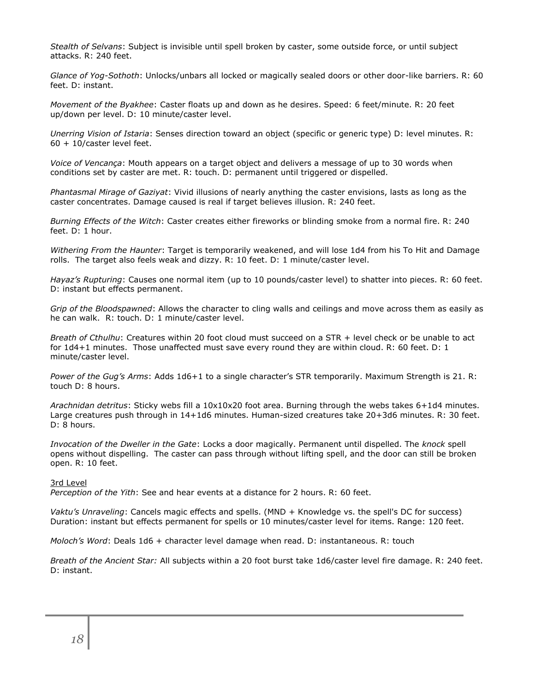*Stealth of Selvans*: Subject is invisible until spell broken by caster, some outside force, or until subject attacks. R: 240 feet.

*Glance of Yog-Sothoth*: Unlocks/unbars all locked or magically sealed doors or other door-like barriers. R: 60 feet. D: instant.

*Movement of the Byakhee*: Caster floats up and down as he desires. Speed: 6 feet/minute. R: 20 feet up/down per level. D: 10 minute/caster level.

*Unerring Vision of Istaria*: Senses direction toward an object (specific or generic type) D: level minutes. R: 60 + 10/caster level feet.

*Voice of Vencança*: Mouth appears on a target object and delivers a message of up to 30 words when conditions set by caster are met. R: touch. D: permanent until triggered or dispelled.

*Phantasmal Mirage of Gaziyat*: Vivid illusions of nearly anything the caster envisions, lasts as long as the caster concentrates. Damage caused is real if target believes illusion. R: 240 feet.

*Burning Effects of the Witch*: Caster creates either fireworks or blinding smoke from a normal fire. R: 240 feet. D: 1 hour.

*Withering From the Haunter*: Target is temporarily weakened, and will lose 1d4 from his To Hit and Damage rolls. The target also feels weak and dizzy. R: 10 feet. D: 1 minute/caster level.

*Hayaz's Rupturing*: Causes one normal item (up to 10 pounds/caster level) to shatter into pieces. R: 60 feet. D: instant but effects permanent.

*Grip of the Bloodspawned*: Allows the character to cling walls and ceilings and move across them as easily as he can walk. R: touch. D: 1 minute/caster level.

*Breath of Cthulhu*: Creatures within 20 foot cloud must succeed on a STR + level check or be unable to act for 1d4+1 minutes. Those unaffected must save every round they are within cloud. R: 60 feet. D: 1 minute/caster level.

*Power of the Gug's Arms*: Adds 1d6+1 to a single character's STR temporarily. Maximum Strength is 21. R: touch D: 8 hours.

*Arachnidan detritus*: Sticky webs fill a 10x10x20 foot area. Burning through the webs takes 6+1d4 minutes. Large creatures push through in 14+1d6 minutes. Human-sized creatures take 20+3d6 minutes. R: 30 feet. D: 8 hours.

*Invocation of the Dweller in the Gate*: Locks a door magically. Permanent until dispelled. The *knock* spell opens without dispelling. The caster can pass through without lifting spell, and the door can still be broken open. R: 10 feet.

#### 3rd Level

*Perception of the Yith*: See and hear events at a distance for 2 hours. R: 60 feet.

*Vaktu's Unraveling*: Cancels magic effects and spells. (MND + Knowledge vs. the spell's DC for success) Duration: instant but effects permanent for spells or 10 minutes/caster level for items. Range: 120 feet.

*Moloch's Word*: Deals 1d6 + character level damage when read. D: instantaneous. R: touch

*Breath of the Ancient Star:* All subjects within a 20 foot burst take 1d6/caster level fire damage. R: 240 feet. D: instant.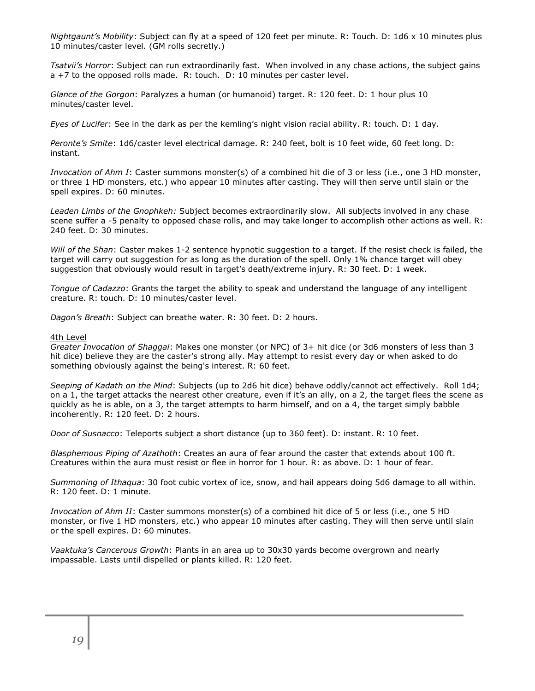*Nightgaunt's Mobility*: Subject can fly at a speed of 120 feet per minute. R: Touch. D: 1d6 x 10 minutes plus 10 minutes/caster level. (GM rolls secretly.)

*Tsatvii's Horror*: Subject can run extraordinarily fast. When involved in any chase actions, the subject gains a +7 to the opposed rolls made. R: touch. D: 10 minutes per caster level.

*Glance of the Gorgon*: Paralyzes a human (or humanoid) target. R: 120 feet. D: 1 hour plus 10 minutes/caster level.

*Eyes of Lucifer*: See in the dark as per the kemling's night vision racial ability. R: touch. D: 1 day.

*Peronte's Smite*: 1d6/caster level electrical damage. R: 240 feet, bolt is 10 feet wide, 60 feet long. D: instant.

*Invocation of Ahm I*: Caster summons monster(s) of a combined hit die of 3 or less (i.e., one 3 HD monster, or three 1 HD monsters, etc.) who appear 10 minutes after casting. They will then serve until slain or the spell expires. D: 60 minutes.

*Leaden Limbs of the Gnophkeh:* Subject becomes extraordinarily slow. All subjects involved in any chase scene suffer a -5 penalty to opposed chase rolls, and may take longer to accomplish other actions as well. R: 240 feet. D: 30 minutes.

*Will of the Shan*: Caster makes 1-2 sentence hypnotic suggestion to a target. If the resist check is failed, the target will carry out suggestion for as long as the duration of the spell. Only 1% chance target will obey suggestion that obviously would result in target's death/extreme injury. R: 30 feet. D: 1 week.

*Tongue of Cadazzo*: Grants the target the ability to speak and understand the language of any intelligent creature. R: touch. D: 10 minutes/caster level.

*Dagon's Breath*: Subject can breathe water. R: 30 feet. D: 2 hours.

#### 4th Level

*Greater Invocation of Shaggai*: Makes one monster (or NPC) of 3+ hit dice (or 3d6 monsters of less than 3 hit dice) believe they are the caster's strong ally. May attempt to resist every day or when asked to do something obviously against the being's interest. R: 60 feet.

*Seeping of Kadath on the Mind*: Subjects (up to 2d6 hit dice) behave oddly/cannot act effectively. Roll 1d4; on a 1, the target attacks the nearest other creature, even if it's an ally, on a 2, the target flees the scene as quickly as he is able, on a 3, the target attempts to harm himself, and on a 4, the target simply babble incoherently. R: 120 feet. D: 2 hours.

*Door of Susnacco*: Teleports subject a short distance (up to 360 feet). D: instant. R: 10 feet.

*Blasphemous Piping of Azathoth*: Creates an aura of fear around the caster that extends about 100 ft. Creatures within the aura must resist or flee in horror for 1 hour. R: as above. D: 1 hour of fear.

*Summoning of Ithaqua*: 30 foot cubic vortex of ice, snow, and hail appears doing 5d6 damage to all within. R: 120 feet. D: 1 minute.

*Invocation of Ahm II*: Caster summons monster(s) of a combined hit dice of 5 or less (i.e., one 5 HD monster, or five 1 HD monsters, etc.) who appear 10 minutes after casting. They will then serve until slain or the spell expires. D: 60 minutes.

*Vaaktuka's Cancerous Growth*: Plants in an area up to 30x30 yards become overgrown and nearly impassable. Lasts until dispelled or plants killed. R: 120 feet.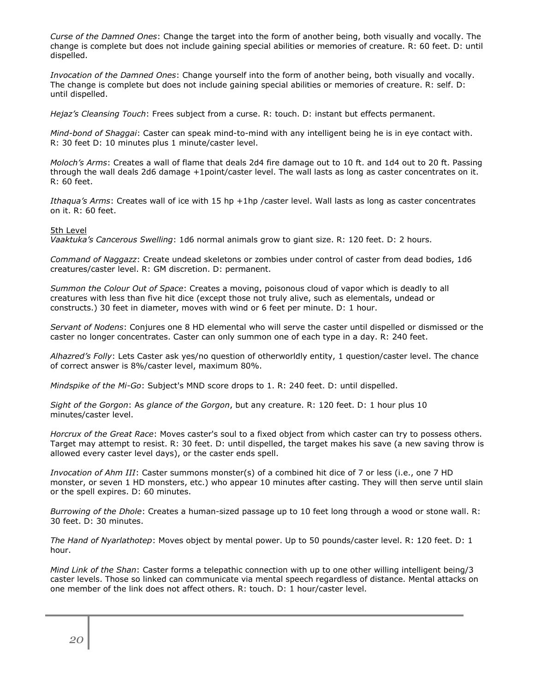*Curse of the Damned Ones*: Change the target into the form of another being, both visually and vocally. The change is complete but does not include gaining special abilities or memories of creature. R: 60 feet. D: until dispelled.

*Invocation of the Damned Ones*: Change yourself into the form of another being, both visually and vocally. The change is complete but does not include gaining special abilities or memories of creature. R: self. D: until dispelled.

*Hejaz's Cleansing Touch*: Frees subject from a curse. R: touch. D: instant but effects permanent.

*Mind-bond of Shaggai*: Caster can speak mind-to-mind with any intelligent being he is in eye contact with. R: 30 feet D: 10 minutes plus 1 minute/caster level.

*Moloch's Arms*: Creates a wall of flame that deals 2d4 fire damage out to 10 ft. and 1d4 out to 20 ft. Passing through the wall deals 2d6 damage +1point/caster level. The wall lasts as long as caster concentrates on it. R: 60 feet.

*Ithaqua's Arms*: Creates wall of ice with 15 hp +1hp /caster level. Wall lasts as long as caster concentrates on it. R: 60 feet.

5th Level

*Vaaktuka's Cancerous Swelling*: 1d6 normal animals grow to giant size. R: 120 feet. D: 2 hours.

*Command of Naggazz*: Create undead skeletons or zombies under control of caster from dead bodies, 1d6 creatures/caster level. R: GM discretion. D: permanent.

*Summon the Colour Out of Space*: Creates a moving, poisonous cloud of vapor which is deadly to all creatures with less than five hit dice (except those not truly alive, such as elementals, undead or constructs.) 30 feet in diameter, moves with wind or 6 feet per minute. D: 1 hour.

*Servant of Nodens*: Conjures one 8 HD elemental who will serve the caster until dispelled or dismissed or the caster no longer concentrates. Caster can only summon one of each type in a day. R: 240 feet.

*Alhazred's Folly*: Lets Caster ask yes/no question of otherworldly entity, 1 question/caster level. The chance of correct answer is 8%/caster level, maximum 80%.

*Mindspike of the Mi-Go*: Subject's MND score drops to 1. R: 240 feet. D: until dispelled.

*Sight of the Gorgon*: As *glance of the Gorgon*, but any creature. R: 120 feet. D: 1 hour plus 10 minutes/caster level.

*Horcrux of the Great Race*: Moves caster's soul to a fixed object from which caster can try to possess others. Target may attempt to resist. R: 30 feet. D: until dispelled, the target makes his save (a new saving throw is allowed every caster level days), or the caster ends spell.

*Invocation of Ahm III*: Caster summons monster(s) of a combined hit dice of 7 or less (i.e., one 7 HD monster, or seven 1 HD monsters, etc.) who appear 10 minutes after casting. They will then serve until slain or the spell expires. D: 60 minutes.

*Burrowing of the Dhole*: Creates a human-sized passage up to 10 feet long through a wood or stone wall. R: 30 feet. D: 30 minutes.

*The Hand of Nyarlathotep*: Moves object by mental power. Up to 50 pounds/caster level. R: 120 feet. D: 1 hour.

*Mind Link of the Shan*: Caster forms a telepathic connection with up to one other willing intelligent being/3 caster levels. Those so linked can communicate via mental speech regardless of distance. Mental attacks on one member of the link does not affect others. R: touch. D: 1 hour/caster level.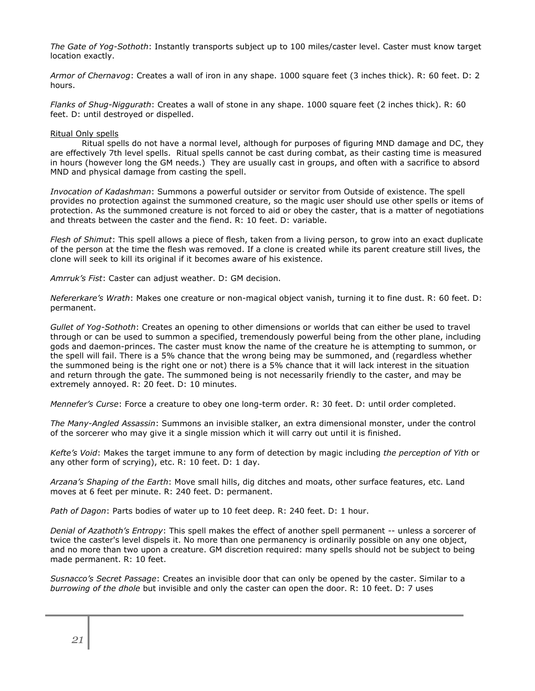*The Gate of Yog-Sothoth*: Instantly transports subject up to 100 miles/caster level. Caster must know target location exactly.

*Armor of Chernavog*: Creates a wall of iron in any shape. 1000 square feet (3 inches thick). R: 60 feet. D: 2 hours.

*Flanks of Shug-Niggurath*: Creates a wall of stone in any shape. 1000 square feet (2 inches thick). R: 60 feet. D: until destroyed or dispelled.

#### Ritual Only spells

Ritual spells do not have a normal level, although for purposes of figuring MND damage and DC, they are effectively 7th level spells. Ritual spells cannot be cast during combat, as their casting time is measured in hours (however long the GM needs.) They are usually cast in groups, and often with a sacrifice to absord MND and physical damage from casting the spell.

*Invocation of Kadashman*: Summons a powerful outsider or servitor from Outside of existence. The spell provides no protection against the summoned creature, so the magic user should use other spells or items of protection. As the summoned creature is not forced to aid or obey the caster, that is a matter of negotiations and threats between the caster and the fiend. R: 10 feet. D: variable.

*Flesh of Shimut*: This spell allows a piece of flesh, taken from a living person, to grow into an exact duplicate of the person at the time the flesh was removed. If a clone is created while its parent creature still lives, the clone will seek to kill its original if it becomes aware of his existence.

*Amrruk's Fist*: Caster can adjust weather. D: GM decision.

*Nefererkare's Wrath*: Makes one creature or non-magical object vanish, turning it to fine dust. R: 60 feet. D: permanent.

*Gullet of Yog-Sothoth*: Creates an opening to other dimensions or worlds that can either be used to travel through or can be used to summon a specified, tremendously powerful being from the other plane, including gods and daemon-princes. The caster must know the name of the creature he is attempting to summon, or the spell will fail. There is a 5% chance that the wrong being may be summoned, and (regardless whether the summoned being is the right one or not) there is a 5% chance that it will lack interest in the situation and return through the gate. The summoned being is not necessarily friendly to the caster, and may be extremely annoyed. R: 20 feet. D: 10 minutes.

*Mennefer's Curse*: Force a creature to obey one long-term order. R: 30 feet. D: until order completed.

*The Many-Angled Assassin*: Summons an invisible stalker, an extra dimensional monster, under the control of the sorcerer who may give it a single mission which it will carry out until it is finished.

*Kefte's Void*: Makes the target immune to any form of detection by magic including *the perception of Yith* or any other form of scrying), etc. R: 10 feet. D: 1 day.

*Arzana's Shaping of the Earth*: Move small hills, dig ditches and moats, other surface features, etc. Land moves at 6 feet per minute. R: 240 feet. D: permanent.

*Path of Dagon*: Parts bodies of water up to 10 feet deep. R: 240 feet. D: 1 hour.

*Denial of Azathoth's Entropy*: This spell makes the effect of another spell permanent -- unless a sorcerer of twice the caster's level dispels it. No more than one permanency is ordinarily possible on any one object, and no more than two upon a creature. GM discretion required: many spells should not be subject to being made permanent. R: 10 feet.

*Susnacco's Secret Passage*: Creates an invisible door that can only be opened by the caster. Similar to a *burrowing of the dhole* but invisible and only the caster can open the door. R: 10 feet. D: 7 uses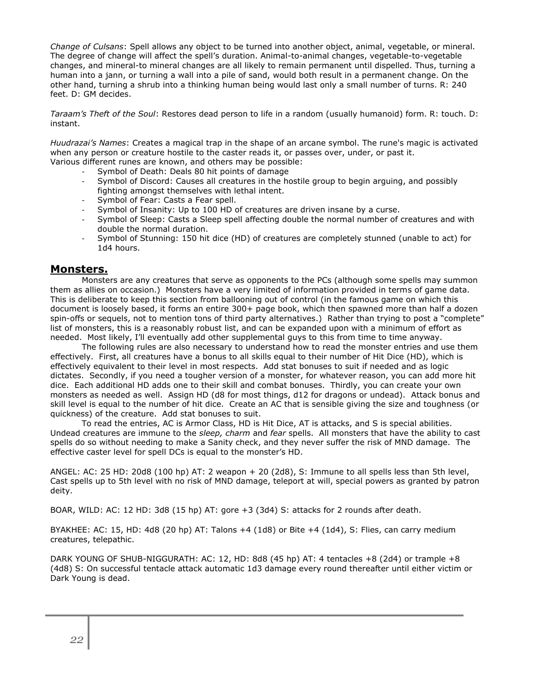*Change of Culsans*: Spell allows any object to be turned into another object, animal, vegetable, or mineral. The degree of change will affect the spell's duration. Animal-to-animal changes, vegetable-to-vegetable changes, and mineral-to mineral changes are all likely to remain permanent until dispelled. Thus, turning a human into a jann, or turning a wall into a pile of sand, would both result in a permanent change. On the other hand, turning a shrub into a thinking human being would last only a small number of turns. R: 240 feet. D: GM decides.

*Taraam's Theft of the Soul*: Restores dead person to life in a random (usually humanoid) form. R: touch. D: instant.

*Huudrazai's Names*: Creates a magical trap in the shape of an arcane symbol. The rune's magic is activated when any person or creature hostile to the caster reads it, or passes over, under, or past it. Various different runes are known, and others may be possible:

- Symbol of Death: Deals 80 hit points of damage
- Symbol of Discord: Causes all creatures in the hostile group to begin arguing, and possibly fighting amongst themselves with lethal intent.
- Symbol of Fear: Casts a Fear spell.
- Symbol of Insanity: Up to 100 HD of creatures are driven insane by a curse.
- Symbol of Sleep: Casts a Sleep spell affecting double the normal number of creatures and with double the normal duration.
- Symbol of Stunning: 150 hit dice (HD) of creatures are completely stunned (unable to act) for 1d4 hours.

## **Monsters.**

Monsters are any creatures that serve as opponents to the PCs (although some spells may summon them as allies on occasion.) Monsters have a very limited of information provided in terms of game data. This is deliberate to keep this section from ballooning out of control (in the famous game on which this document is loosely based, it forms an entire 300+ page book, which then spawned more than half a dozen spin-offs or sequels, not to mention tons of third party alternatives.) Rather than trying to post a "complete" list of monsters, this is a reasonably robust list, and can be expanded upon with a minimum of effort as needed. Most likely, I'll eventually add other supplemental guys to this from time to time anyway.

The following rules are also necessary to understand how to read the monster entries and use them effectively. First, all creatures have a bonus to all skills equal to their number of Hit Dice (HD), which is effectively equivalent to their level in most respects. Add stat bonuses to suit if needed and as logic dictates. Secondly, if you need a tougher version of a monster, for whatever reason, you can add more hit dice. Each additional HD adds one to their skill and combat bonuses. Thirdly, you can create your own monsters as needed as well. Assign HD (d8 for most things, d12 for dragons or undead). Attack bonus and skill level is equal to the number of hit dice. Create an AC that is sensible giving the size and toughness (or quickness) of the creature. Add stat bonuses to suit.

To read the entries, AC is Armor Class, HD is Hit Dice, AT is attacks, and S is special abilities. Undead creatures are immune to the *sleep, charm* and *fear* spells. All monsters that have the ability to cast spells do so without needing to make a Sanity check, and they never suffer the risk of MND damage. The effective caster level for spell DCs is equal to the monster's HD.

ANGEL: AC: 25 HD: 20d8 (100 hp) AT: 2 weapon + 20 (2d8), S: Immune to all spells less than 5th level, Cast spells up to 5th level with no risk of MND damage, teleport at will, special powers as granted by patron deity.

BOAR, WILD: AC: 12 HD: 3d8 (15 hp) AT: gore +3 (3d4) S: attacks for 2 rounds after death.

BYAKHEE: AC: 15, HD: 4d8 (20 hp) AT: Talons +4 (1d8) or Bite +4 (1d4), S: Flies, can carry medium creatures, telepathic.

DARK YOUNG OF SHUB-NIGGURATH: AC: 12, HD: 8d8 (45 hp) AT: 4 tentacles +8 (2d4) or trample +8 (4d8) S: On successful tentacle attack automatic 1d3 damage every round thereafter until either victim or Dark Young is dead.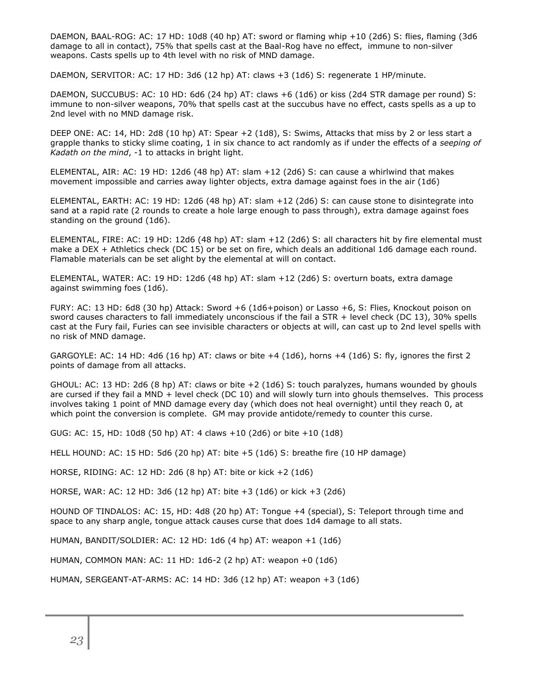DAEMON, BAAL-ROG: AC: 17 HD: 10d8 (40 hp) AT: sword or flaming whip +10 (2d6) S: flies, flaming (3d6 damage to all in contact), 75% that spells cast at the Baal-Rog have no effect, immune to non-silver weapons. Casts spells up to 4th level with no risk of MND damage.

DAEMON, SERVITOR: AC: 17 HD: 3d6 (12 hp) AT: claws +3 (1d6) S: regenerate 1 HP/minute.

DAEMON, SUCCUBUS: AC: 10 HD: 6d6 (24 hp) AT: claws +6 (1d6) or kiss (2d4 STR damage per round) S: immune to non-silver weapons, 70% that spells cast at the succubus have no effect, casts spells as a up to 2nd level with no MND damage risk.

DEEP ONE: AC: 14, HD: 2d8 (10 hp) AT: Spear +2 (1d8), S: Swims, Attacks that miss by 2 or less start a grapple thanks to sticky slime coating, 1 in six chance to act randomly as if under the effects of a *seeping of Kadath on the mind*, -1 to attacks in bright light.

ELEMENTAL, AIR: AC: 19 HD: 12d6 (48 hp) AT: slam +12 (2d6) S: can cause a whirlwind that makes movement impossible and carries away lighter objects, extra damage against foes in the air (1d6)

ELEMENTAL, EARTH: AC: 19 HD: 12d6 (48 hp) AT: slam +12 (2d6) S: can cause stone to disintegrate into sand at a rapid rate (2 rounds to create a hole large enough to pass through), extra damage against foes standing on the ground (1d6).

ELEMENTAL, FIRE: AC: 19 HD: 12d6 (48 hp) AT: slam +12 (2d6) S: all characters hit by fire elemental must make a DEX + Athletics check (DC 15) or be set on fire, which deals an additional 1d6 damage each round. Flamable materials can be set alight by the elemental at will on contact.

ELEMENTAL, WATER: AC: 19 HD: 12d6 (48 hp) AT: slam +12 (2d6) S: overturn boats, extra damage against swimming foes (1d6).

FURY: AC: 13 HD: 6d8 (30 hp) Attack: Sword +6 (1d6+poison) or Lasso +6, S: Flies, Knockout poison on sword causes characters to fall immediately unconscious if the fail a STR + level check (DC 13), 30% spells cast at the Fury fail, Furies can see invisible characters or objects at will, can cast up to 2nd level spells with no risk of MND damage.

GARGOYLE: AC: 14 HD: 4d6 (16 hp) AT: claws or bite +4 (1d6), horns +4 (1d6) S: fly, ignores the first 2 points of damage from all attacks.

GHOUL: AC: 13 HD: 2d6 (8 hp) AT: claws or bite +2 (1d6) S: touch paralyzes, humans wounded by ghouls are cursed if they fail a MND + level check (DC 10) and will slowly turn into ghouls themselves. This process involves taking 1 point of MND damage every day (which does not heal overnight) until they reach 0, at which point the conversion is complete. GM may provide antidote/remedy to counter this curse.

GUG: AC: 15, HD: 10d8 (50 hp) AT: 4 claws +10 (2d6) or bite +10 (1d8)

HELL HOUND: AC: 15 HD: 5d6 (20 hp) AT: bite +5 (1d6) S: breathe fire (10 HP damage)

HORSE, RIDING: AC: 12 HD: 2d6 (8 hp) AT: bite or kick +2 (1d6)

HORSE, WAR: AC: 12 HD: 3d6 (12 hp) AT: bite +3 (1d6) or kick +3 (2d6)

HOUND OF TINDALOS: AC: 15, HD: 4d8 (20 hp) AT: Tongue +4 (special), S: Teleport through time and space to any sharp angle, tongue attack causes curse that does 1d4 damage to all stats.

HUMAN, BANDIT/SOLDIER: AC: 12 HD: 1d6 (4 hp) AT: weapon +1 (1d6)

HUMAN, COMMON MAN: AC: 11 HD: 1d6-2 (2 hp) AT: weapon +0 (1d6)

HUMAN, SERGEANT-AT-ARMS: AC: 14 HD: 3d6 (12 hp) AT: weapon +3 (1d6)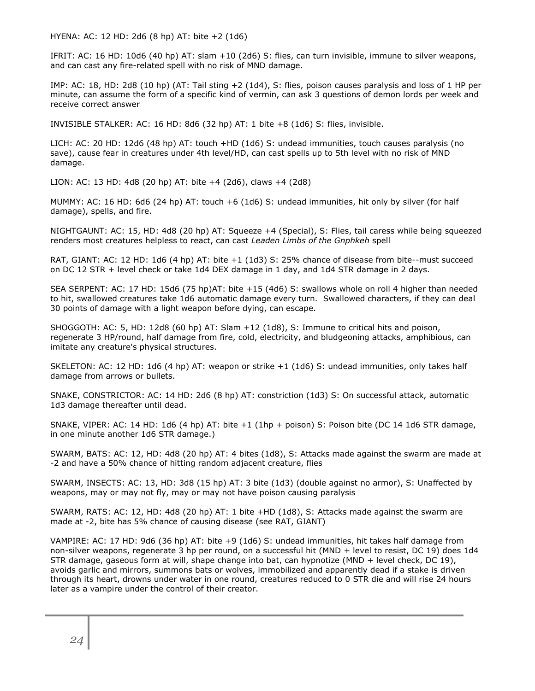HYENA: AC: 12 HD: 2d6 (8 hp) AT: bite +2 (1d6)

IFRIT: AC: 16 HD: 10d6 (40 hp) AT: slam +10 (2d6) S: flies, can turn invisible, immune to silver weapons, and can cast any fire-related spell with no risk of MND damage.

IMP: AC: 18, HD: 2d8 (10 hp) (AT: Tail sting +2 (1d4), S: flies, poison causes paralysis and loss of 1 HP per minute, can assume the form of a specific kind of vermin, can ask 3 questions of demon lords per week and receive correct answer

INVISIBLE STALKER: AC: 16 HD: 8d6 (32 hp) AT: 1 bite +8 (1d6) S: flies, invisible.

LICH: AC: 20 HD: 12d6 (48 hp) AT: touch +HD (1d6) S: undead immunities, touch causes paralysis (no save), cause fear in creatures under 4th level/HD, can cast spells up to 5th level with no risk of MND damage.

LION: AC: 13 HD: 4d8 (20 hp) AT: bite +4 (2d6), claws +4 (2d8)

MUMMY: AC: 16 HD: 6d6 (24 hp) AT: touch +6 (1d6) S: undead immunities, hit only by silver (for half damage), spells, and fire.

NIGHTGAUNT: AC: 15, HD: 4d8 (20 hp) AT: Squeeze +4 (Special), S: Flies, tail caress while being squeezed renders most creatures helpless to react, can cast *Leaden Limbs of the Gnphkeh* spell

RAT, GIANT: AC: 12 HD: 1d6 (4 hp) AT: bite +1 (1d3) S: 25% chance of disease from bite--must succeed on DC 12 STR + level check or take 1d4 DEX damage in 1 day, and 1d4 STR damage in 2 days.

SEA SERPENT: AC: 17 HD: 15d6 (75 hp)AT: bite +15 (4d6) S: swallows whole on roll 4 higher than needed to hit, swallowed creatures take 1d6 automatic damage every turn. Swallowed characters, if they can deal 30 points of damage with a light weapon before dying, can escape.

SHOGGOTH: AC: 5, HD: 12d8 (60 hp) AT: Slam +12 (1d8), S: Immune to critical hits and poison, regenerate 3 HP/round, half damage from fire, cold, electricity, and bludgeoning attacks, amphibious, can imitate any creature's physical structures.

SKELETON: AC: 12 HD: 1d6 (4 hp) AT: weapon or strike +1 (1d6) S: undead immunities, only takes half damage from arrows or bullets.

SNAKE, CONSTRICTOR: AC: 14 HD: 2d6 (8 hp) AT: constriction (1d3) S: On successful attack, automatic 1d3 damage thereafter until dead.

SNAKE, VIPER: AC: 14 HD: 1d6 (4 hp) AT: bite +1 (1hp + poison) S: Poison bite (DC 14 1d6 STR damage, in one minute another 1d6 STR damage.)

SWARM, BATS: AC: 12, HD: 4d8 (20 hp) AT: 4 bites (1d8), S: Attacks made against the swarm are made at -2 and have a 50% chance of hitting random adjacent creature, flies

SWARM, INSECTS: AC: 13, HD: 3d8 (15 hp) AT: 3 bite (1d3) (double against no armor), S: Unaffected by weapons, may or may not fly, may or may not have poison causing paralysis

SWARM, RATS: AC: 12, HD: 4d8 (20 hp) AT: 1 bite +HD (1d8), S: Attacks made against the swarm are made at -2, bite has 5% chance of causing disease (see RAT, GIANT)

VAMPIRE: AC: 17 HD: 9d6 (36 hp) AT: bite +9 (1d6) S: undead immunities, hit takes half damage from non-silver weapons, regenerate 3 hp per round, on a successful hit (MND + level to resist, DC 19) does 1d4 STR damage, gaseous form at will, shape change into bat, can hypnotize (MND + level check, DC 19), avoids garlic and mirrors, summons bats or wolves, immobilized and apparently dead if a stake is driven through its heart, drowns under water in one round, creatures reduced to 0 STR die and will rise 24 hours later as a vampire under the control of their creator.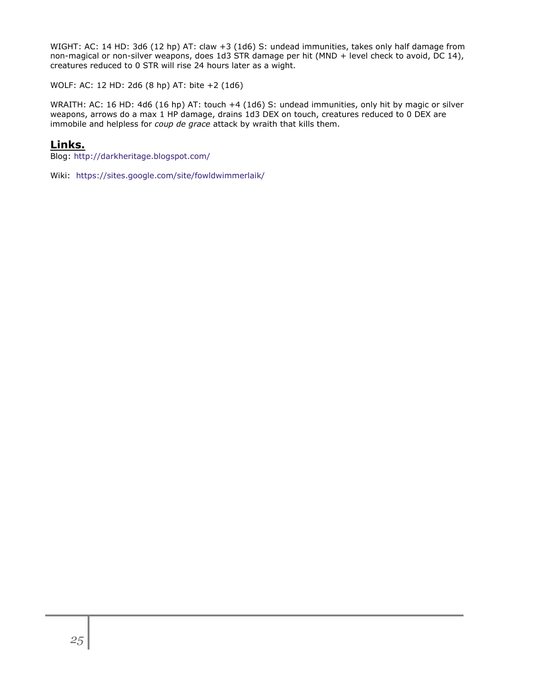WIGHT: AC: 14 HD: 3d6 (12 hp) AT: claw +3 (1d6) S: undead immunities, takes only half damage from non-magical or non-silver weapons, does 1d3 STR damage per hit (MND + level check to avoid, DC 14), creatures reduced to 0 STR will rise 24 hours later as a wight.

WOLF: AC: 12 HD: 2d6 (8 hp) AT: bite +2 (1d6)

WRAITH: AC: 16 HD: 4d6 (16 hp) AT: touch +4 (1d6) S: undead immunities, only hit by magic or silver weapons, arrows do a max 1 HP damage, drains 1d3 DEX on touch, creatures reduced to 0 DEX are immobile and helpless for *coup de grace* attack by wraith that kills them.

## **Links.**

Blog:<http://darkheritage.blogspot.com/>

Wiki: <https://sites.google.com/site/fowldwimmerlaik/>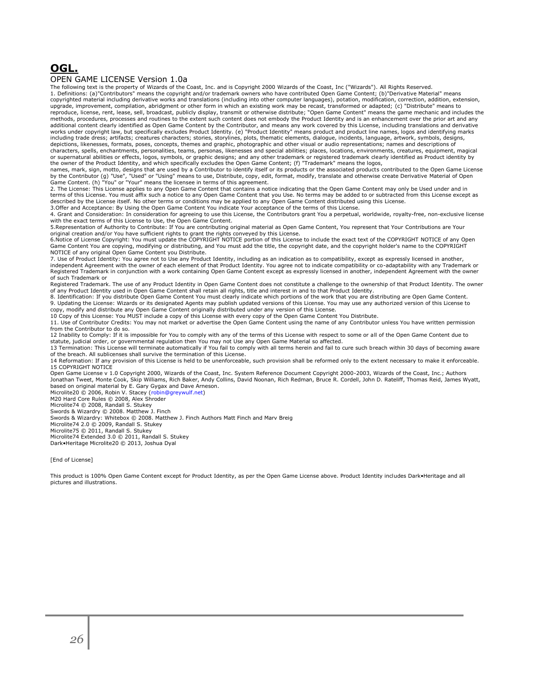# **OGL.**

#### OPEN GAME LICENSE Version 1.0a

The following text is the property of Wizards of the Coast, Inc. and is Copyright 2000 Wizards of the Coast, Inc ("Wizards"). All Rights Reserved.

1. Definitions: (a)"Contributors" means the copyright and/or trademark owners who have contributed Open Game Content; (b)"Derivative Material" means copyrighted material including derivative works and translations (including into other computer languages), potation, modification, correction, addition, extension,<br>upgrade, improvement, compilation, abridgment or other fo reproduce, license, rent, lease, sell, broadcast, publicly display, transmit or otherwise distribute; "Open Game Content" means the game mechanic and includes the methods, procedures, processes and routines to the extent such content does not embody the Product Identity and is an enhancement over the prior art and any<br>additional content clearly identified as Open Game Content by the works under copyright law, but specifically excludes Product Identity. (e) "Product Identity" means product and product line names, logos and identifying marks including trade dress; artifacts; creatures characters; stories, storylines, plots, thematic elements, dialogue, incidents, language, artwork, symbols, designs, depictions, likenesses, formats, poses, concepts, themes and graphic, photographic and other visual or audio representations; names and descriptions of<br>characters, spells, enchantments, personalities, teams, personas, like or supernatural abilities or effects, logos, symbols, or graphic designs; and any other trademark or registered trademark clearly identified as Product identity by the owner of the Product Identity, and which specifically excludes the Open Game Content; (f) "Trademark" means the logos,

names, mark, sign, motto, designs that are used by a Contributor to identify itself or its products or the associated products contributed to the Open Game License by the Contributor (g) "Use", "Used" or "Using" means to use, Distribute, copy, edit, format, modify, translate and otherwise create Derivative Material of Open<br>Game Content. (h) "You" or "Your" means the licensee in terms

2. The License: This License applies to any Open Game Content that contains a notice indicating that the Open Game Content may only be Used under and in terms of this License. You must affix such a notice to any Open Game Content that you Use. No terms may be added to or subtracted from this License except as described by the License itself. No other terms or conditions may be applied to any Open Game Content distributed using this License.<br>3.Offer and Acceptance: By Using the Open Game Content You indicate Your acceptance of t

4. Grant and Consideration: In consideration for agreeing to use this License, the Contributors grant You a perpetual, worldwide, royalty-free, non-exclusive license with the exact terms of this License to Use, the Open Game Content.

5.Representation of Authority to Contribute: If You are contributing original material as Open Game Content, You represent that Your Contributions are Your original creation and/or You have sufficient rights to grant the rights conveyed by this License.

6.Notice of License Copyright: You must update the COPYRIGHT NOTICE portion of this License to include the exact text of the COPYRIGHT NOTICE of any Open Game Content You are copying, modifying or distributing, and You must add the title, the copyright date, and the copyright holder's name to the COPYRIGHT NOTICE of any original Open Game Content you Distribute.

7. Use of Product Identity: You agree not to Use any Product Identity, including as an indication as to compatibility, except as expressly licensed in another,<br>independent Agreement with the owner of each element of that P Registered Trademark in conjunction with a work containing Open Game Content except as expressly licensed in another, independent Agreement with the owner of such Trademark or

Registered Trademark. The use of any Product Identity in Open Game Content does not constitute a challenge to the ownership of that Product Identity. The owner<br>of any Product Identity used in Open Game Content shall retain

8. Identification: If you distribute Open Game Content You must clearly indicate which portions of the work that you are distributing are Open Game Content. 9. Updating the License: Wizards or its designated Agents may publish updated versions of this License. You may use any authorized version of this License to

copy, modify and distribute any Open Game Content originally distributed under any version of this License.<br>10 Copy of this License: You MUST include a copy of this License with every copy of the Open Game Content You Dist

11. Use of Contributor Credits: You may not market or advertise the Open Game Content using the name of any Contributor unless You have written permission from the Contributor to do so.

12 Inability to Comply: If it is impossible for You to comply with any of the terms of this License with respect to some or all of the Open Game Content due to statute, judicial order, or governmental regulation then You may not Use any Open Game Material so affected.

13 Termination: This License will terminate automatically if You fail to comply with all terms herein and fail to cure such breach within 30 days of becoming aware of the breach. All sublicenses shall survive the termination of this License.

14 Reformation: If any provision of this License is held to be unenforceable, such provision shall be reformed only to the extent necessary to make it enforceable. 15 COPYRIGHT NOTICE

Open Game License v 1.0 Copyright 2000, Wizards of the Coast, Inc. System Reference Document Copyright 2000-2003, Wizards of the Coast, Inc.; Authors Jonathan Tweet, Monte Cook, Skip Williams, Rich Baker, Andy Collins, David Noonan, Rich Redman, Bruce R. Cordell, John D. Rateliff, Thomas Reid, James Wyatt, based on original material by E. Gary Gygax and Dave Arneson.

Microlite20 © 2006, Robin V. Stacey (robin@greywulf.net)

M20 Hard Core Rules © 2008, Alex Shroder

Microlite74 © 2008, Randall S. Stukey

Swords & Wizardry © 2008. Matthew J. Finch

Swords & Wizardry: Whitebox © 2008. Matthew J. Finch Authors Matt Finch and Marv Breig Microlite74 2.0 © 2009, Randall S. Stukey

Microlite75 © 2011, Randall S. Stukey

Microlite74 Extended 3.0 © 2011, Randall S. Stukey

Dark•Heritage Microlite20 © 2013, Joshua Dyal

#### [End of License]

This product is 100% Open Game Content except for Product Identity, as per the Open Game License above. Product Identity includes Dark•Heritage and all pictures and illustrations.